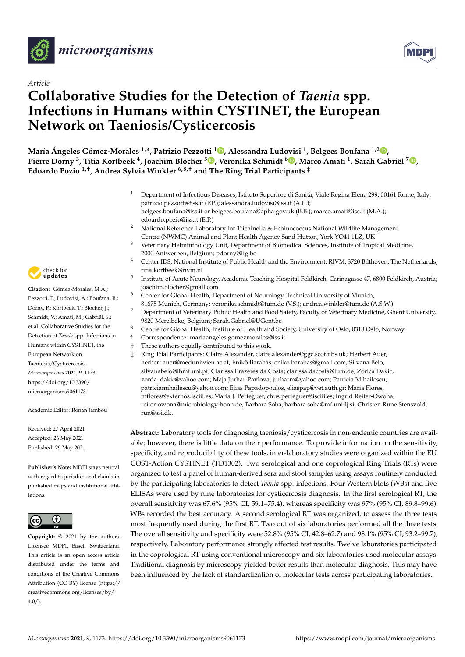



# *Article* **Collaborative Studies for the Detection of** *Taenia* **spp. Infections in Humans within CYSTINET, the European Network on Taeniosis/Cysticercosis**

**María Ángeles Gómez-Morales 1,\*, Patrizio Pezzotti <sup>1</sup> [,](https://orcid.org/0000-0002-0805-2927) Alessandra Ludovisi <sup>1</sup> , Belgees Boufana 1,2 [,](https://orcid.org/0000-0001-6573-7212) Pierre Dorny <sup>3</sup> , Titia Kortbeek <sup>4</sup> , Joachim Blocher <sup>5</sup> [,](https://orcid.org/0000-0001-5121-420X) Veronika Schmidt <sup>6</sup> [,](https://orcid.org/0000-0002-6108-2586) Marco Amati <sup>1</sup> , Sarah Gabriël <sup>7</sup> [,](https://orcid.org/0000-0002-2523-233X) Edoardo Pozio 1,†, Andrea Sylvia Winkler 6,8,† and The Ring Trial Participants ‡**

- <sup>1</sup> Department of Infectious Diseases, Istituto Superiore di Sanità, Viale Regina Elena 299, 00161 Rome, Italy; patrizio.pezzotti@iss.it (P.P.); alessandra.ludovisi@iss.it (A.L.); belgees.boufana@iss.it or belgees.boufana@apha.gov.uk (B.B.); marco.amati@iss.it (M.A.); edoardo.pozio@iss.it (E.P.)
- <sup>2</sup> National Reference Laboratory for Trichinella & Echinococcus National Wildlife Management Centre (NWMC) Animal and Plant Health Agency Sand Hutton, York YO41 1LZ, UK
- $3$  Veterinary Helminthology Unit, Department of Biomedical Sciences, Institute of Tropical Medicine, 2000 Antwerpen, Belgium; pdorny@itg.be
- <sup>4</sup> Center IDS, National Institute of Public Health and the Environment, RIVM, 3720 Bilthoven, The Netherlands; titia.kortbeek@rivm.nl
- 5 Institute of Acute Neurology, Academic Teaching Hospital Feldkirch, Carinagasse 47, 6800 Feldkirch, Austria; joachim.blocher@gmail.com
- <sup>6</sup> Center for Global Health, Department of Neurology, Technical University of Munich,
- 81675 Munich, Germany; veronika.schmidt@tum.de (V.S.); andrea.winkler@tum.de (A.S.W.)
- <sup>7</sup> Department of Veterinary Public Health and Food Safety, Faculty of Veterinary Medicine, Ghent University, 9820 Merelbeke, Belgium; Sarah.Gabriel@UGent.be
- Centre for Global Health, Institute of Health and Society, University of Oslo, 0318 Oslo, Norway
- **\*** Correspondence: mariaangeles.gomezmorales@iss.it
- † These authors equally contributed to this work.
- ‡ Ring Trial Participants: Claire Alexander, claire.alexander@ggc.scot.nhs.uk; Herbert Auer, herbert.auer@meduniwien.ac.at; Enikő Barabás, eniko.barabas@gmail.com; Silvana Belo, silvanabelo@ihmt.unl.pt; Clarissa Prazeres da Costa; clarissa.dacosta@tum.de; Zorica Dakic, zorda\_dakic@yahoo.com; Maja Jurhar-Pavlova, jurharm@yahoo.com; Patricia Mihailescu, patriciamihailescu@yahoo.com; Elias Papadopoulos, eliaspap@vet.auth.gr; Maria Flores, mflores@externos.isciii.es; Maria J. Perteguer, chus.perteguer@isciii.es; Ingrid Reiter-Owona, reiter-owona@microbiology-bonn.de; Barbara Soba, barbara.soba@mf.uni-lj.si; Christen Rune Stensvold, run@ssi.dk.

**Abstract:** Laboratory tools for diagnosing taeniosis/cysticercosis in non-endemic countries are available; however, there is little data on their performance. To provide information on the sensitivity, specificity, and reproducibility of these tools, inter-laboratory studies were organized within the EU COST-Action CYSTINET (TD1302). Two serological and one coprological Ring Trials (RTs) were organized to test a panel of human-derived sera and stool samples using assays routinely conducted by the participating laboratories to detect *Taenia* spp. infections. Four Western blots (WBs) and five ELISAs were used by nine laboratories for cysticercosis diagnosis. In the first serological RT, the overall sensitivity was 67.6% (95% CI, 59.1–75.4), whereas specificity was 97% (95% CI, 89.8–99.6). WBs recorded the best accuracy. A second serological RT was organized, to assess the three tests most frequently used during the first RT. Two out of six laboratories performed all the three tests. The overall sensitivity and specificity were 52.8% (95% CI, 42.8–62.7) and 98.1% (95% CI, 93.2–99.7), respectively. Laboratory performance strongly affected test results. Twelve laboratories participated in the coprological RT using conventional microscopy and six laboratories used molecular assays. Traditional diagnosis by microscopy yielded better results than molecular diagnosis. This may have been influenced by the lack of standardization of molecular tests across participating laboratories.



**Citation:** Gómez-Morales, M.Á.; Pezzotti, P.; Ludovisi, A.; Boufana, B.; Dorny, P.; Kortbeek, T.; Blocher, J.; Schmidt, V.; Amati, M.; Gabriël, S.; et al. Collaborative Studies for the Detection of *Taenia* spp. Infections in Humans within CYSTINET, the European Network on Taeniosis/Cysticercosis. *Microorganisms* **2021**, *9*, 1173. [https://doi.org/10.3390/](https://doi.org/10.3390/microorganisms9061173) [microorganisms9061173](https://doi.org/10.3390/microorganisms9061173)

Academic Editor: Ronan Jambou

Received: 27 April 2021 Accepted: 26 May 2021 Published: 29 May 2021

**Publisher's Note:** MDPI stays neutral with regard to jurisdictional claims in published maps and institutional affiliations.



**Copyright:** © 2021 by the authors. Licensee MDPI, Basel, Switzerland. This article is an open access article distributed under the terms and conditions of the Creative Commons Attribution (CC BY) license (https:/[/](https://creativecommons.org/licenses/by/4.0/) [creativecommons.org/licenses/by/](https://creativecommons.org/licenses/by/4.0/)  $4.0/$ ).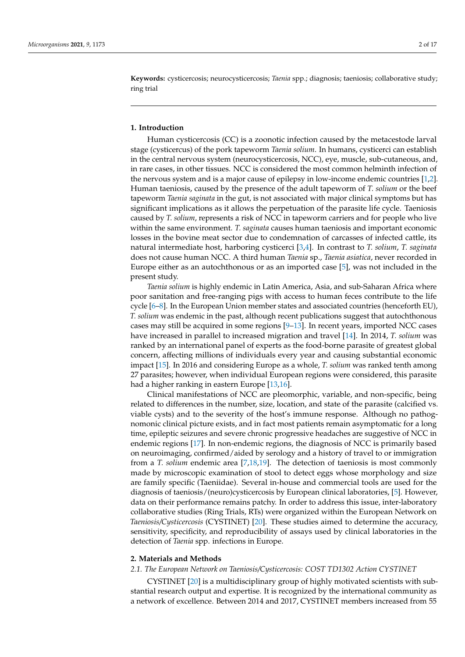**Keywords:** cysticercosis; neurocysticercosis; *Taenia* spp.; diagnosis; taeniosis; collaborative study; ring trial

# **1. Introduction**

Human cysticercosis (CC) is a zoonotic infection caused by the metacestode larval stage (cysticercus) of the pork tapeworm *Taenia solium*. In humans, cysticerci can establish in the central nervous system (neurocysticercosis, NCC), eye, muscle, sub-cutaneous, and, in rare cases, in other tissues. NCC is considered the most common helminth infection of the nervous system and is a major cause of epilepsy in low-income endemic countries [\[1](#page-14-0)[,2\]](#page-14-1). Human taeniosis, caused by the presence of the adult tapeworm of *T. solium* or the beef tapeworm *Taenia saginata* in the gut, is not associated with major clinical symptoms but has significant implications as it allows the perpetuation of the parasite life cycle. Taeniosis caused by *T. solium*, represents a risk of NCC in tapeworm carriers and for people who live within the same environment. *T. saginata* causes human taeniosis and important economic losses in the bovine meat sector due to condemnation of carcasses of infected cattle, its natural intermediate host, harboring cysticerci [\[3](#page-14-2)[,4\]](#page-14-3). In contrast to *T. solium*, *T. saginata* does not cause human NCC. A third human *Taenia* sp., *Taenia asiatica*, never recorded in Europe either as an autochthonous or as an imported case [\[5\]](#page-14-4), was not included in the present study.

*Taenia solium* is highly endemic in Latin America, Asia, and sub-Saharan Africa where poor sanitation and free-ranging pigs with access to human feces contribute to the life cycle [\[6](#page-14-5)[–8\]](#page-14-6). In the European Union member states and associated countries (henceforth EU), *T. solium* was endemic in the past, although recent publications suggest that autochthonous cases may still be acquired in some regions [\[9](#page-14-7)[–13\]](#page-14-8). In recent years, imported NCC cases have increased in parallel to increased migration and travel [\[14\]](#page-14-9). In 2014, *T. solium* was ranked by an international panel of experts as the food-borne parasite of greatest global concern, affecting millions of individuals every year and causing substantial economic impact [\[15\]](#page-14-10). In 2016 and considering Europe as a whole, *T. solium* was ranked tenth among 27 parasites; however, when individual European regions were considered, this parasite had a higher ranking in eastern Europe [\[13,](#page-14-8)[16\]](#page-14-11).

Clinical manifestations of NCC are pleomorphic, variable, and non-specific, being related to differences in the number, size, location, and state of the parasite (calcified vs. viable cysts) and to the severity of the host's immune response. Although no pathognomonic clinical picture exists, and in fact most patients remain asymptomatic for a long time, epileptic seizures and severe chronic progressive headaches are suggestive of NCC in endemic regions [\[17\]](#page-14-12). In non-endemic regions, the diagnosis of NCC is primarily based on neuroimaging, confirmed/aided by serology and a history of travel to or immigration from a *T. solium* endemic area [\[7](#page-14-13)[,18](#page-14-14)[,19\]](#page-15-0). The detection of taeniosis is most commonly made by microscopic examination of stool to detect eggs whose morphology and size are family specific (Taeniidae). Several in-house and commercial tools are used for the diagnosis of taeniosis/(neuro)cysticercosis by European clinical laboratories, [\[5\]](#page-14-4). However, data on their performance remains patchy. In order to address this issue, inter-laboratory collaborative studies (Ring Trials, RTs) were organized within the European Network on *Taeniosis/Cysticercosis* (CYSTINET) [\[20\]](#page-15-1). These studies aimed to determine the accuracy, sensitivity, specificity, and reproducibility of assays used by clinical laboratories in the detection of *Taenia* spp. infections in Europe.

# **2. Materials and Methods**

#### *2.1. The European Network on Taeniosis/Cysticercosis: COST TD1302 Action CYSTINET*

CYSTINET [\[20\]](#page-15-1) is a multidisciplinary group of highly motivated scientists with substantial research output and expertise. It is recognized by the international community as a network of excellence. Between 2014 and 2017, CYSTINET members increased from 55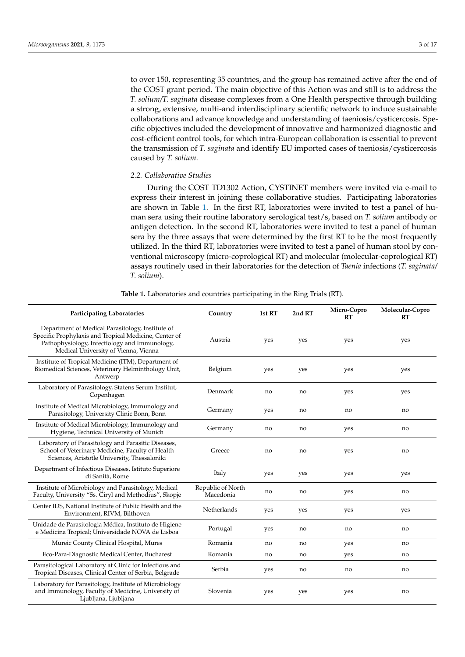to over 150, representing 35 countries, and the group has remained active after the end of the COST grant period. The main objective of this Action was and still is to address the *T. solium/T. saginata* disease complexes from a One Health perspective through building a strong, extensive, multi-and interdisciplinary scientific network to induce sustainable collaborations and advance knowledge and understanding of taeniosis/cysticercosis. Specific objectives included the development of innovative and harmonized diagnostic and cost-efficient control tools, for which intra-European collaboration is essential to prevent the transmission of *T. saginata* and identify EU imported cases of taeniosis/cysticercosis caused by *T. solium*.

# *2.2. Collaborative Studies*

During the COST TD1302 Action, CYSTINET members were invited via e-mail to express their interest in joining these collaborative studies. Participating laboratories are shown in Table [1.](#page-2-0) In the first RT, laboratories were invited to test a panel of human sera using their routine laboratory serological test/s, based on *T. solium* antibody or antigen detection. In the second RT, laboratories were invited to test a panel of human sera by the three assays that were determined by the first RT to be the most frequently utilized. In the third RT, laboratories were invited to test a panel of human stool by conventional microscopy (micro-coprological RT) and molecular (molecular-coprological RT) assays routinely used in their laboratories for the detection of *Taenia* infections (*T. saginata/ T. solium*).

<span id="page-2-0"></span>

| <b>Participating Laboratories</b>                                                                                                                                                                  | Country                        | 1st RT | 2nd RT | Micro-Copro<br>RT | Molecular-Copro<br>RT |
|----------------------------------------------------------------------------------------------------------------------------------------------------------------------------------------------------|--------------------------------|--------|--------|-------------------|-----------------------|
| Department of Medical Parasitology, Institute of<br>Specific Prophylaxis and Tropical Medicine, Center of<br>Pathophysiology, Infectiology and Immunology,<br>Medical University of Vienna, Vienna | Austria                        | yes    | yes    | yes               | yes                   |
| Institute of Tropical Medicine (ITM), Department of<br>Biomedical Sciences, Veterinary Helminthology Unit,<br>Antwerp                                                                              | Belgium                        | yes    | yes    | yes               | yes                   |
| Laboratory of Parasitology, Statens Serum Institut,<br>Copenhagen                                                                                                                                  | Denmark                        | no     | no     | yes               | yes                   |
| Institute of Medical Microbiology, Immunology and<br>Parasitology, University Clinic Bonn, Bonn                                                                                                    | Germany                        | yes    | no     | no                | no                    |
| Institute of Medical Microbiology, Immunology and<br>Hygiene, Technical University of Munich                                                                                                       | Germany                        | no     | no     | yes               | no                    |
| Laboratory of Parasitology and Parasitic Diseases,<br>School of Veterinary Medicine, Faculty of Health<br>Sciences, Aristotle University, Thessaloniki                                             | Greece                         | no     | no     | yes               | no                    |
| Department of Infectious Diseases, Istituto Superiore<br>di Sanità, Rome                                                                                                                           | Italy                          | yes    | yes    | yes               | yes                   |
| Institute of Microbiology and Parasitology, Medical<br>Faculty, University "Ss. Ciryl and Methodius", Skopje                                                                                       | Republic of North<br>Macedonia | no     | no     | yes               | no                    |
| Center IDS, National Institute of Public Health and the<br>Environment, RIVM, Bilthoven                                                                                                            | Netherlands                    | yes    | yes    | yes               | yes                   |
| Unidade de Parasitologia Médica, Instituto de Higiene<br>e Medicina Tropical; Universidade NOVA de Lisboa                                                                                          | Portugal                       | yes    | no     | no                | no                    |
| Mureic County Clinical Hospital, Mures                                                                                                                                                             | Romania                        | no     | no     | yes               | no                    |
| Eco-Para-Diagnostic Medical Center, Bucharest                                                                                                                                                      | Romania                        | no     | no     | yes               | no                    |
| Parasitological Laboratory at Clinic for Infectious and<br>Tropical Diseases, Clinical Center of Serbia, Belgrade                                                                                  | Serbia                         | yes    | no     | no                | no                    |
| Laboratory for Parasitology, Institute of Microbiology<br>and Immunology, Faculty of Medicine, University of<br>Ljubljana, Ljubljana                                                               | Slovenia                       | yes    | yes    | yes               | no                    |

**Table 1.** Laboratories and countries participating in the Ring Trials (RT).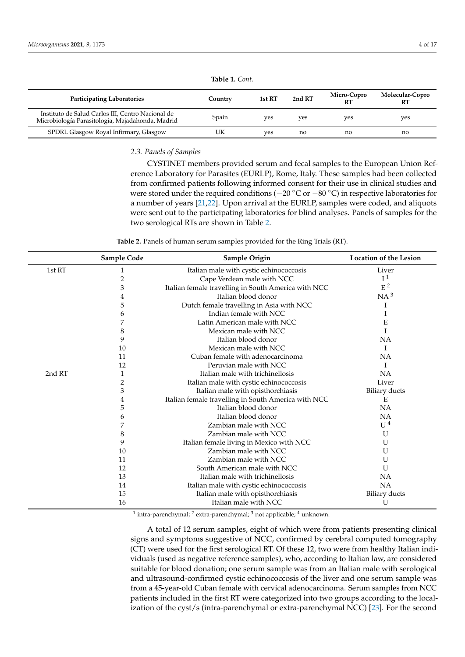| <b>Participating Laboratories</b>                                                                     | Country | 1st RT | 2nd RT | Micro-Copro<br>RT | Molecular-Copro<br>RT |
|-------------------------------------------------------------------------------------------------------|---------|--------|--------|-------------------|-----------------------|
| Instituto de Salud Carlos III, Centro Nacional de<br>Microbiología Parasitologia, Majadahonda, Madrid | Spain   | ves    | ves    | ves               | ves                   |
| SPDRL Glasgow Royal Infirmary, Glasgow                                                                | UK      | ves    | no     | no                | no                    |

**Table 1.** *Cont.*

# *2.3. Panels of Samples*

CYSTINET members provided serum and fecal samples to the European Union Reference Laboratory for Parasites (EURLP), Rome, Italy. These samples had been collected from confirmed patients following informed consent for their use in clinical studies and were stored under the required conditions (−20 °C or −80 °C) in respective laboratories for a number of years [\[21](#page-15-2)[,22\]](#page-15-3). Upon arrival at the EURLP, samples were coded, and aliquots were sent out to the participating laboratories for blind analyses. Panels of samples for the two serological RTs are shown in Table [2.](#page-3-0)

**Table 2.** Panels of human serum samples provided for the Ring Trials (RT).

<span id="page-3-0"></span>

|        | Sample Code | Sample Origin                                       | <b>Location of the Lesion</b> |
|--------|-------------|-----------------------------------------------------|-------------------------------|
| 1st RT |             | Italian male with cystic echinococcosis             | Liver                         |
|        | 2           | Cape Verdean male with NCC                          | I <sup>1</sup>                |
|        | 3           | Italian female travelling in South America with NCC | $\rm E$ $^2$                  |
|        | 4           | Italian blood donor                                 | $NA^3$                        |
|        | 5           | Dutch female travelling in Asia with NCC            | 1                             |
|        | 6           | Indian female with NCC                              |                               |
|        |             | Latin American male with NCC                        | E                             |
|        | 8           | Mexican male with NCC                               |                               |
|        | 9           | Italian blood donor                                 | NA                            |
|        | 10          | Mexican male with NCC                               | Ι                             |
|        | 11          | Cuban female with adenocarcinoma                    | NA                            |
|        | 12          | Peruvian male with NCC                              | I                             |
| 2nd RT | 1           | Italian male with trichinellosis                    | NA                            |
|        | 2           | Italian male with cystic echinococcosis             | Liver                         |
|        | 3           | Italian male with opisthorchiasis                   | <b>Biliary ducts</b>          |
|        | 4           | Italian female travelling in South America with NCC | Ε                             |
|        | 5           | Italian blood donor                                 | NA                            |
|        | 6           | Italian blood donor                                 | NA                            |
|        |             | Zambian male with NCC                               | U <sup>4</sup>                |
|        | 8           | Zambian male with NCC                               | U                             |
|        | 9           | Italian female living in Mexico with NCC            | U                             |
|        | 10          | Zambian male with NCC                               | U                             |
|        | 11          | Zambian male with NCC                               | U                             |
|        | 12          | South American male with NCC                        | U                             |
|        | 13          | Italian male with trichinellosis                    | NA                            |
|        | 14          | Italian male with cystic echinococcosis             | <b>NA</b>                     |
|        | 15          | Italian male with opisthorchiasis                   | <b>Biliary ducts</b>          |
|        | 16          | Italian male with NCC                               | U                             |

<sup>1</sup> intra-parenchymal; <sup>2</sup> extra-parenchymal; <sup>3</sup> not applicable; <sup>4</sup> unknown.

A total of 12 serum samples, eight of which were from patients presenting clinical signs and symptoms suggestive of NCC, confirmed by cerebral computed tomography (CT) were used for the first serological RT. Of these 12, two were from healthy Italian individuals (used as negative reference samples), who, according to Italian law, are considered suitable for blood donation; one serum sample was from an Italian male with serological and ultrasound-confirmed cystic echinococcosis of the liver and one serum sample was from a 45-year-old Cuban female with cervical adenocarcinoma. Serum samples from NCC patients included in the first RT were categorized into two groups according to the localization of the cyst/s (intra-parenchymal or extra-parenchymal NCC) [\[23\]](#page-15-4). For the second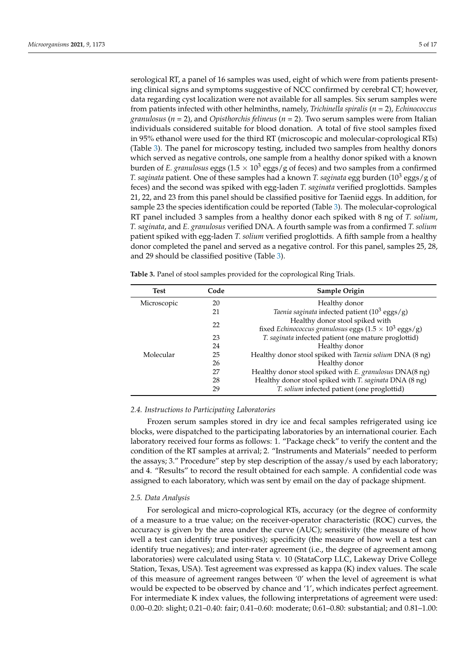serological RT, a panel of 16 samples was used, eight of which were from patients presenting clinical signs and symptoms suggestive of NCC confirmed by cerebral CT; however, data regarding cyst localization were not available for all samples. Six serum samples were from patients infected with other helminths, namely, *Trichinella spiralis* (*n* = 2), *Echinococcus granulosus* (*n* = 2), and *Opisthorchis felineus* (*n* = 2). Two serum samples were from Italian individuals considered suitable for blood donation. A total of five stool samples fixed in 95% ethanol were used for the third RT (microscopic and molecular-coprological RTs) (Table [3\)](#page-4-0). The panel for microscopy testing, included two samples from healthy donors which served as negative controls, one sample from a healthy donor spiked with a known burden of *E. granulosus* eggs (1.5  $\times$  10<sup>3</sup> eggs/g of feces) and two samples from a confirmed *T. saginata* patient. One of these samples had a known *T. saginata* egg burden (10<sup>3</sup> eggs/g of feces) and the second was spiked with egg-laden *T. saginata* verified proglottids. Samples 21, 22, and 23 from this panel should be classified positive for Taeniid eggs. In addition, for sample 23 the species identification could be reported (Table [3\)](#page-4-0). The molecular-coprological RT panel included 3 samples from a healthy donor each spiked with 8 ng of *T. solium*, *T. saginata*, and *E. granulosus* verified DNA. A fourth sample was from a confirmed *T. solium* patient spiked with egg-laden *T. solium* verified proglottids. A fifth sample from a healthy donor completed the panel and served as a negative control. For this panel, samples 25, 28, and 29 should be classified positive (Table [3\)](#page-4-0).

| <b>Test</b> | Code | Sample Origin                                                         |
|-------------|------|-----------------------------------------------------------------------|
| Microscopic | 20   | Healthy donor                                                         |
|             | 21   | Taenia saginata infected patient $(10^3 \text{ eggs/g})$              |
|             | 22   | Healthy donor stool spiked with                                       |
|             |      | fixed Echinococcus granulosus eggs $(1.5 \times 10^3 \text{ eggs/g})$ |
|             | 23   | T. saginata infected patient (one mature proglottid)                  |
|             | 24   | Healthy donor                                                         |
| Molecular   | 25   | Healthy donor stool spiked with Taenia solium DNA (8 ng)              |
|             | 26   | Healthy donor                                                         |
|             | 27   | Healthy donor stool spiked with E. granulosus DNA(8 ng)               |
|             | 28   | Healthy donor stool spiked with T. saginata DNA (8 ng)                |
|             | 29   | T. solium infected patient (one proglottid)                           |

<span id="page-4-0"></span>**Table 3.** Panel of stool samples provided for the coprological Ring Trials.

#### *2.4. Instructions to Participating Laboratories*

Frozen serum samples stored in dry ice and fecal samples refrigerated using ice blocks, were dispatched to the participating laboratories by an international courier. Each laboratory received four forms as follows: 1. "Package check" to verify the content and the condition of the RT samples at arrival; 2. "Instruments and Materials" needed to perform the assays; 3." Procedure" step by step description of the assay/s used by each laboratory; and 4. "Results" to record the result obtained for each sample. A confidential code was assigned to each laboratory, which was sent by email on the day of package shipment.

#### *2.5. Data Analysis*

For serological and micro-coprological RTs, accuracy (or the degree of conformity of a measure to a true value; on the receiver-operator characteristic (ROC) curves, the accuracy is given by the area under the curve (AUC); sensitivity (the measure of how well a test can identify true positives); specificity (the measure of how well a test can identify true negatives); and inter-rater agreement (i.e., the degree of agreement among laboratories) were calculated using Stata v. 10 (StataCorp LLC, Lakeway Drive College Station, Texas, USA). Test agreement was expressed as kappa (K) index values. The scale of this measure of agreement ranges between '0' when the level of agreement is what would be expected to be observed by chance and '1', which indicates perfect agreement. For intermediate K index values, the following interpretations of agreement were used: 0.00–0.20: slight; 0.21–0.40: fair; 0.41–0.60: moderate; 0.61–0.80: substantial; and 0.81–1.00: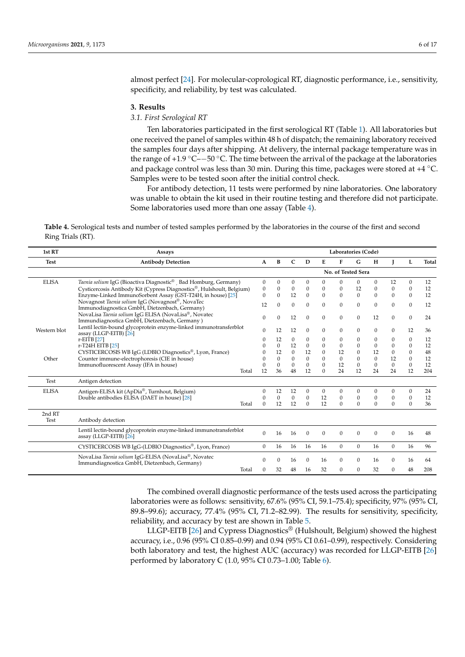almost perfect [\[24\]](#page-15-5). For molecular-coprological RT, diagnostic performance, i.e., sensitivity, specificity, and reliability, by test was calculated.

#### **3. Results**

## *3.1. First Serological RT*

Ten laboratories participated in the first serological RT (Table [1\)](#page-2-0). All laboratories but one received the panel of samples within 48 h of dispatch; the remaining laboratory received the samples four days after shipping. At delivery, the internal package temperature was in the range of +1.9  $\degree$ C– $-50 \degree$ C. The time between the arrival of the package at the laboratories and package control was less than 30 min. During this time, packages were stored at  $+4 °C$ . Samples were to be tested soon after the initial control check.

For antibody detection, 11 tests were performed by nine laboratories. One laboratory was unable to obtain the kit used in their routine testing and therefore did not participate. Some laboratories used more than one assay (Table [4\)](#page-5-0).

<span id="page-5-0"></span>**Table 4.** Serological tests and number of tested samples performed by the laboratories in the course of the first and second Ring Trials (RT).

| 1st RT       | Assays                                                                                      | Laboratories (Code) |                  |                  |              |                  |                  |                    |                  |              |              |       |
|--------------|---------------------------------------------------------------------------------------------|---------------------|------------------|------------------|--------------|------------------|------------------|--------------------|------------------|--------------|--------------|-------|
| <b>Test</b>  | <b>Antibody Detection</b>                                                                   | A                   | B                | $\mathbf C$      | D            | E                | F                | G                  | H                |              | L            | Total |
|              |                                                                                             |                     |                  |                  |              |                  |                  | No. of Tested Sera |                  |              |              |       |
| <b>ELISA</b> | Taenia solium IgG (Bioactiva Diagnostic®, Bad Homburg, Germany)                             | $\mathbf{0}$        | $\boldsymbol{0}$ | $\mathbf{0}$     | $\mathbf{0}$ | $\mathbf{0}$     | $\Omega$         | $\mathbf{0}$       | $\mathbf{0}$     | 12           | $\mathbf{0}$ | 12    |
|              | Cysticercosis Antibody Kit (Cypress Diagnostics®, Hulshoult, Belgium)                       | $\mathbf{0}$        | 0                | $\mathbf{0}$     | $\mathbf{0}$ | $\mathbf{0}$     | $\mathbf{0}$     | 12                 | $\boldsymbol{0}$ | $\mathbf{0}$ | 0            | 12    |
|              | Enzyme-Linked ImmunoSorbent Assay (GST-T24H, in house) [25]                                 | $\Omega$            | $\Omega$         | 12               | $\mathbf{0}$ | $\mathbf{0}$     | $\mathbf{0}$     | $\mathbf{0}$       | $\Omega$         | $\Omega$     | 0            | 12    |
|              | Novagnost Taenia solium IgG (Novagnost®, NovaTec                                            |                     | $\Omega$         |                  | $\mathbf{0}$ |                  |                  |                    |                  |              |              |       |
|              | Immunodiagnostica GmbH, Dietzenbach, Germany)                                               | 12                  |                  | $\boldsymbol{0}$ |              | $\boldsymbol{0}$ | $\boldsymbol{0}$ | $\boldsymbol{0}$   | $\mathbf{0}$     | $\mathbf{0}$ | $\mathbf{0}$ | 12    |
|              | NovaLisa Taenia solium IgG ELISA (NovaLisa®, Novatec                                        |                     |                  |                  |              |                  |                  |                    |                  |              |              |       |
|              | Immundiagnostica GmbH, Dietzenbach, Germany)                                                | 0                   | $\Omega$         | 12               | $\Omega$     | $\mathbf{0}$     | $\mathbf{0}$     | $\mathbf{0}$       | 12               | $\Omega$     | $\mathbf{0}$ | 24    |
|              | Lentil lectin-bound glycoprotein enzyme-linked immunotransferblot                           |                     |                  |                  |              |                  |                  |                    |                  |              |              |       |
| Western blot | assay (LLGP-EITB) [26]                                                                      | $\Omega$            | 12               | 12               | $\Omega$     | $\mathbf{0}$     | $\Omega$         | $\mathbf{0}$       | $\mathbf{0}$     | $\Omega$     | 12           | 36    |
|              | $r$ -EITB $[27]$                                                                            | 0                   | 12               | $\boldsymbol{0}$ | $\mathbf{0}$ | $\mathbf{0}$     | $\mathbf{0}$     | $\boldsymbol{0}$   | $\mathbf{0}$     | $\Omega$     | 0            | 12    |
|              | r-T24H EITB [25]                                                                            | U                   | $\Omega$         | 12               | $\mathbf{0}$ | $\boldsymbol{0}$ | $\mathbf{0}$     | $\mathbf{0}$       | $\mathbf{0}$     | $\Omega$     | 0            | 12    |
|              | CYSTICERCOSIS WB IgG (LDBIO Diagnostics®, Lyon, France)                                     |                     | 12               | $\mathbf{0}$     | 12           | $\boldsymbol{0}$ | 12               | $\mathbf{0}$       | 12               | $\mathbf{0}$ | 0            | 48    |
| Other        | Counter immune-electrophoresis (CIE in house)                                               |                     | $\Omega$         | $\mathbf{0}$     | $\mathbf{0}$ | $\mathbf{0}$     | $\mathbf{0}$     | $\mathbf{0}$       | $\mathbf{0}$     | 12           | $\mathbf{0}$ | 12    |
|              | Immunofluorescent Assay (IFA in house)                                                      | 0                   | $\boldsymbol{0}$ | $\mathbf{0}$     | $\mathbf{0}$ | $\mathbf{0}$     | 12               | $\mathbf{0}$       | $\mathbf{0}$     | $\mathbf{0}$ | $\mathbf{0}$ | 12    |
|              | Total                                                                                       | 12                  | 36               | 48               | 12           | $\Omega$         | 24               | 12                 | 24               | 24           | 12           | 204   |
| Test         | Antigen detection                                                                           |                     |                  |                  |              |                  |                  |                    |                  |              |              |       |
| <b>ELISA</b> | Antigen-ELISA kit (ApDia®, Turnhout, Belgium)                                               | 0                   | 12               | 12               | $\mathbf{0}$ | $\boldsymbol{0}$ | $\mathbf{0}$     | $\boldsymbol{0}$   | $\boldsymbol{0}$ | $\Omega$     | 0            | 24    |
|              | Double antibodies ELISA (DAET in house) [28]                                                | 0                   | $\mathbf{0}$     | $\boldsymbol{0}$ | $\mathbf{0}$ | 12               | $\mathbf{0}$     | $\boldsymbol{0}$   | $\boldsymbol{0}$ | $\Omega$     | 0            | 12    |
|              | Total                                                                                       | $\Omega$            | 12               | 12               | $\Omega$     | 12               | $\Omega$         | $\Omega$           | $\Omega$         | $\Omega$     | $\Omega$     | 36    |
| 2nd RT       |                                                                                             |                     |                  |                  |              |                  |                  |                    |                  |              |              |       |
| Test         | Antibody detection                                                                          |                     |                  |                  |              |                  |                  |                    |                  |              |              |       |
|              |                                                                                             |                     |                  |                  |              |                  |                  |                    |                  |              |              |       |
|              | Lentil lectin-bound glycoprotein enzyme-linked immunotransferblot<br>assay (LLGP-EITB) [26] | $\Omega$            | 16               | 16               | $\mathbf{0}$ | $\mathbf{0}$     | $\mathbf{0}$     | $\mathbf{0}$       | $\mathbf{0}$     | $\mathbf{0}$ | 16           | 48    |
|              |                                                                                             |                     |                  |                  |              |                  |                  |                    |                  |              |              |       |
|              | CYSTICERCOSIS WB IgG-(LDBIO Diagnostics®, Lyon, France)                                     | $\mathbf{0}$        | 16               | 16               | 16           | 16               | $\mathbf{0}$     | $\mathbf{0}$       | 16               | $\mathbf{0}$ | 16           | 96    |
|              | NovaLisa Taenia solium IgG-ELISA (NovaLisa®, Novatec                                        | 0                   | 0                | 16               | $\Omega$     | 16               | $\mathbf{0}$     | $\boldsymbol{0}$   | 16               | $\Omega$     | 16           | 64    |
|              | Immundiagnostica GmbH, Dietzenbach, Germany)                                                |                     |                  |                  |              |                  |                  |                    |                  |              |              |       |
|              | Total                                                                                       | 0                   | 32               | 48               | 16           | 32               | $\Omega$         | $\mathbf{0}$       | 32               | $\Omega$     | 48           | 208   |

The combined overall diagnostic performance of the tests used across the participating laboratories were as follows: sensitivity, 67.6% (95% CI, 59.1–75.4); specificity, 97% (95% CI, 89.8–99.6); accuracy, 77.4% (95% CI, 71.2–82.99). The results for sensitivity, specificity, reliability, and accuracy by test are shown in Table [5.](#page-6-0)

LLGP-EITB [\[26\]](#page-15-7) and Cypress Diagnostics<sup>®</sup> (Hulshoult, Belgium) showed the highest accuracy, i.e., 0.96 (95% CI 0.85–0.99) and 0.94 (95% CI 0.61–0.99), respectively. Considering both laboratory and test, the highest AUC (accuracy) was recorded for LLGP-EITB [\[26\]](#page-15-7) performed by laboratory C (1.0, 95% CI 0.73–1.00; Table [6\)](#page-7-0).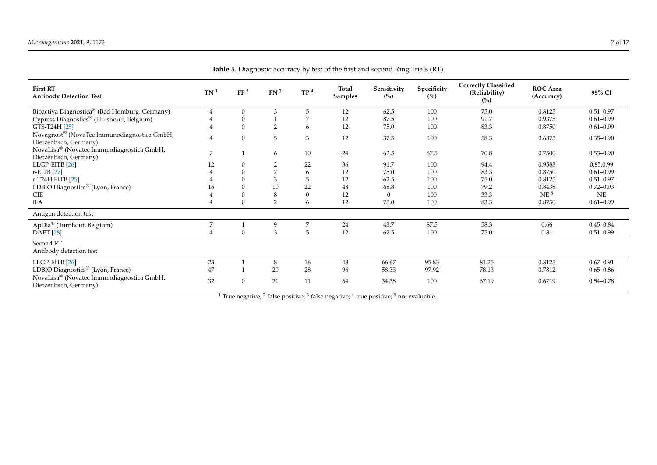<span id="page-6-0"></span>

| <b>First RT</b><br><b>Antibody Detection Test</b>                    | TN <sup>1</sup> | FP <sup>2</sup> | FN <sup>3</sup> | TP <sup>4</sup> | <b>Total</b><br>Samples | Sensitivity<br>(%) | Specificity<br>(%) | <b>Correctly Classified</b><br>(Reliability)<br>(%) | <b>ROC</b> Area<br>(Accuracy) | 95% CI        |
|----------------------------------------------------------------------|-----------------|-----------------|-----------------|-----------------|-------------------------|--------------------|--------------------|-----------------------------------------------------|-------------------------------|---------------|
| Bioactiva Diagnostica® (Bad Homburg, Germany)                        |                 |                 | 3               | 5               | 12                      | 62.5               | 100                | 75.0                                                | 0.8125                        | $0.51 - 0.97$ |
| Cypress Diagnostics® (Hulshoult, Belgium)                            |                 |                 |                 |                 | 12                      | 87.5               | 100                | 91.7                                                | 0.9375                        | $0.61 - 0.99$ |
| GTS-T24H [25]                                                        |                 | $\Omega$        | $\overline{2}$  | 6               | 12                      | 75.0               | 100                | 83.3                                                | 0.8750                        | $0.61 - 0.99$ |
| Novagnost® (NovaTec Immunodiagnostica GmbH,<br>Dietzenbach, Germany) |                 | $\Omega$        | 5               | 3               | 12                      | 37.5               | 100                | 58.3                                                | 0.6875                        | $0.35 - 0.90$ |
| NovaLisa® (Novatec Immundiagnostica GmbH,<br>Dietzenbach, Germany)   |                 |                 | 6               | 10              | 24                      | 62.5               | 87.5               | 70.8                                                | 0.7500                        | $0.53 - 0.90$ |
| LLGP-EITB <sup>[26]</sup>                                            | 12              |                 | $\overline{2}$  | 22              | 36                      | 91.7               | 100                | 94.4                                                | 0.9583                        | 0.85.0.99     |
| r-EITB [27]                                                          |                 |                 |                 | 6               | 12                      | 75.0               | 100                | 83.3                                                | 0.8750                        | $0.61 - 0.99$ |
| r-T24H EITB [25]                                                     |                 |                 | 3               |                 | 12                      | 62.5               | 100                | 75.0                                                | 0.8125                        | $0.51 - 0.97$ |
| LDBIO Diagnostics <sup>®</sup> (Lyon, France)                        | 16              |                 | 10              | 22              | 48                      | 68.8               | 100                | 79.2                                                | 0.8438                        | $0.72 - 0.93$ |
| <b>CIE</b>                                                           |                 |                 | 8               |                 | 12                      | $\Omega$           | 100                | 33.3                                                | NE <sup>5</sup>               | NE            |
| <b>IFA</b>                                                           |                 |                 | $\overline{2}$  | 6               | 12                      | 75.0               | 100                | 83.3                                                | 0.8750                        | $0.61 - 0.99$ |
| Antigen detection test                                               |                 |                 |                 |                 |                         |                    |                    |                                                     |                               |               |
| ApDia® (Turnhout, Belgium)                                           | 7               |                 | 9               | 7               | 24                      | 43.7               | 87.5               | 58.3                                                | 0.66                          | $0.45 - 0.84$ |
| <b>DAET</b> [28]                                                     |                 | $\Omega$        | 3               | 5               | 12                      | 62.5               | 100                | 75.0                                                | 0.81                          | $0.51 - 0.99$ |
| Second RT<br>Antibody detection test                                 |                 |                 |                 |                 |                         |                    |                    |                                                     |                               |               |
| LLGP-EITB <sup>[26]</sup>                                            | 23              |                 | 8               | 16              | 48                      | 66.67              | 95.83              | 81.25                                               | 0.8125                        | $0.67 - 0.91$ |
| LDBIO Diagnostics <sup>®</sup> (Lyon, France)                        | 47              |                 | 20              | 28              | 96                      | 58.33              | 97.92              | 78.13                                               | 0.7812                        | $0.65 - 0.86$ |
| NovaLisa® (Novatec Immundiagnostica GmbH,<br>Dietzenbach, Germany)   | 32              | $\Omega$        | 21              | 11              | 64                      | 34.38              | 100                | 67.19                                               | 0.6719                        | $0.54 - 0.78$ |

**Table 5.** Diagnostic accuracy by test of the first and second Ring Trials (RT).

 $^1$  True negative;  $^2$  false positive;  $^3$  false negative;  $^4$  true positive;  $^5$  not evaluable.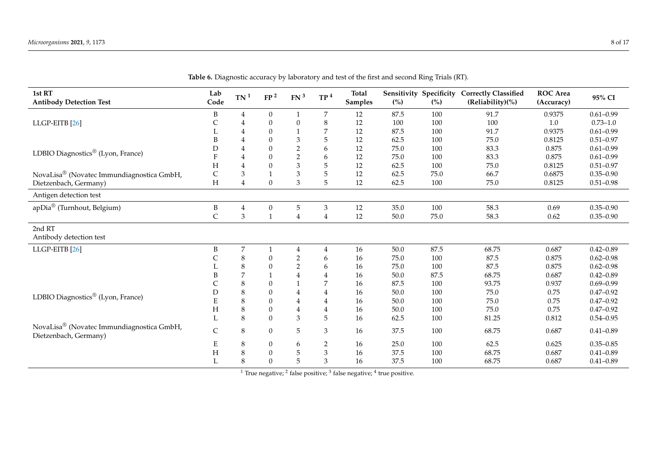<span id="page-7-0"></span>

| 1st RT<br><b>Antibody Detection Test</b>                           | Lab<br>Code               | TN <sup>1</sup>  | FP <sup>2</sup>  | FN <sup>3</sup>  | TP <sup>4</sup> | <b>Total</b><br><b>Samples</b> | (%)      | Sensitivity Specificity<br>(%) | <b>Correctly Classified</b><br>(Reliability)(%) | <b>ROC</b> Area<br>(Accuracy) | 95% CI        |
|--------------------------------------------------------------------|---------------------------|------------------|------------------|------------------|-----------------|--------------------------------|----------|--------------------------------|-------------------------------------------------|-------------------------------|---------------|
|                                                                    | B                         | 4                | $\boldsymbol{0}$ |                  | $\overline{7}$  | 12                             | 87.5     | 100                            | 91.7                                            | 0.9375                        | $0.61 - 0.99$ |
| LLGP-EITB <sup>[26]</sup>                                          | С                         | $\overline{4}$   | $\boldsymbol{0}$ | $\theta$         | 8               | 12                             | 100      | 100                            | 100                                             | 1.0                           | $0.73 - 1.0$  |
|                                                                    |                           | $\overline{4}$   | $\boldsymbol{0}$ |                  | 7               | 12                             | 87.5     | 100                            | 91.7                                            | 0.9375                        | $0.61 - 0.99$ |
|                                                                    | B                         | $\overline{4}$   | $\mathbf{0}$     | 3                | 5               | 12                             | 62.5     | 100                            | 75.0                                            | 0.8125                        | $0.51 - 0.97$ |
|                                                                    | D                         | $\overline{4}$   | $\boldsymbol{0}$ | $\overline{2}$   | 6               | 12                             | 75.0     | 100                            | 83.3                                            | 0.875                         | $0.61 - 0.99$ |
| LDBIO Diagnostics <sup>®</sup> (Lyon, France)                      | F                         | $\overline{4}$   | $\boldsymbol{0}$ | $\overline{2}$   | 6               | 12                             | 75.0     | 100                            | 83.3                                            | 0.875                         | $0.61 - 0.99$ |
|                                                                    | H                         | $\overline{4}$   | $\boldsymbol{0}$ | 3                | 5               | 12                             | 62.5     | 100                            | 75.0                                            | 0.8125                        | $0.51 - 0.97$ |
| NovaLisa® (Novatec Immundiagnostica GmbH,                          | C                         | $\mathfrak{Z}$   | $1\,$            | 3                | 5               | 12                             | 62.5     | 75.0                           | 66.7                                            | 0.6875                        | $0.35 - 0.90$ |
| Dietzenbach, Germany)                                              | $\boldsymbol{\mathrm{H}}$ | $\overline{4}$   | $\boldsymbol{0}$ | $\mathfrak{Z}$   | 5               | 12                             | 62.5     | 100                            | 75.0                                            | 0.8125                        | $0.51 - 0.98$ |
| Antigen detection test                                             |                           |                  |                  |                  |                 |                                |          |                                |                                                 |                               |               |
| apDia <sup>®</sup> (Turnhout, Belgium)                             | $\, {\bf B}$              | 4                | $\boldsymbol{0}$ | 5                | 3               | 12                             | 35.0     | 100                            | 58.3                                            | 0.69                          | $0.35 - 0.90$ |
|                                                                    | $\mathsf C$               | $\mathfrak{Z}$   | $\mathbf{1}$     | 4                | $\overline{4}$  | 12                             | $50.0\,$ | 75.0                           | 58.3                                            | 0.62                          | $0.35 - 0.90$ |
| 2nd RT<br>Antibody detection test                                  |                           |                  |                  |                  |                 |                                |          |                                |                                                 |                               |               |
| LLGP-EITB <sup>[26]</sup>                                          | B                         | $\boldsymbol{7}$ | $\mathbf{1}$     | $\overline{4}$   | 4               | 16                             | 50.0     | 87.5                           | 68.75                                           | 0.687                         | $0.42 - 0.89$ |
|                                                                    | C                         | $\,8\,$          | $\boldsymbol{0}$ | $\boldsymbol{2}$ | 6               | 16                             | 75.0     | 100                            | 87.5                                            | 0.875                         | $0.62 - 0.98$ |
|                                                                    |                           | $\,8\,$          | $\boldsymbol{0}$ | $\overline{2}$   | 6               | 16                             | 75.0     | 100                            | 87.5                                            | 0.875                         | $0.62 - 0.98$ |
|                                                                    |                           | $\overline{7}$   | $\mathbf{1}$     | $\overline{4}$   | 4               | 16                             | 50.0     | 87.5                           | 68.75                                           | 0.687                         | $0.42 - 0.89$ |
|                                                                    | C                         | $\,8\,$          | $\boldsymbol{0}$ |                  | 7               | 16                             | 87.5     | 100                            | 93.75                                           | 0.937                         | $0.69 - 0.99$ |
|                                                                    | D                         | $\,8\,$          | $\boldsymbol{0}$ | $\overline{4}$   | 4               | 16                             | 50.0     | 100                            | 75.0                                            | 0.75                          | $0.47 - 0.92$ |
| LDBIO Diagnostics <sup>®</sup> (Lyon, France)                      | E                         | $\,8\,$          | $\boldsymbol{0}$ | $\bf 4$          | 4               | 16                             | 50.0     | 100                            | 75.0                                            | 0.75                          | $0.47 - 0.92$ |
|                                                                    | H                         | $\,8\,$          | $\boldsymbol{0}$ | $\bf 4$          | 4               | 16                             | 50.0     | 100                            | 75.0                                            | 0.75                          | $0.47 - 0.92$ |
|                                                                    |                           | 8                | $\mathbf{0}$     | 3                | 5               | 16                             | 62.5     | 100                            | 81.25                                           | 0.812                         | $0.54 - 0.95$ |
| NovaLisa® (Novatec Immundiagnostica GmbH,<br>Dietzenbach, Germany) | $\mathsf C$               | $\,8\,$          | $\boldsymbol{0}$ | 5                | 3               | 16                             | 37.5     | 100                            | 68.75                                           | 0.687                         | $0.41 - 0.89$ |
|                                                                    | E                         | 8                | $\boldsymbol{0}$ | 6                | 2               | 16                             | 25.0     | 100                            | 62.5                                            | 0.625                         | $0.35 - 0.85$ |
|                                                                    | $H_{\rm}$                 | $\,8\,$          | $\boldsymbol{0}$ | 5                | 3               | 16                             | 37.5     | 100                            | 68.75                                           | 0.687                         | $0.41 - 0.89$ |
|                                                                    |                           | 8                | $\mathbf{0}$     | 5                | 3               | 16                             | 37.5     | 100                            | 68.75                                           | 0.687                         | $0.41 - 0.89$ |

**Table 6.** Diagnostic accuracy by laboratory and test of the first and second Ring Trials (RT).

<sup>1</sup> True negative; <sup>2</sup> false positive; <sup>3</sup> false negative; <sup>4</sup> true positive.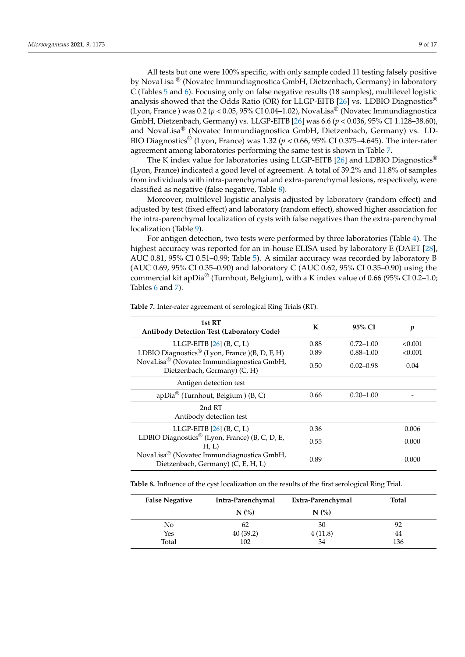All tests but one were 100% specific, with only sample coded 11 testing falsely positive by NovaLisa ® (Novatec Immundiagnostica GmbH, Dietzenbach, Germany) in laboratory C (Tables [5](#page-6-0) and [6\)](#page-7-0). Focusing only on false negative results (18 samples), multilevel logistic analysis showed that the Odds Ratio (OR) for LLGP-EITB [\[26\]](#page-15-7) vs. LDBIO Diagnostics<sup>®</sup> (Lyon, France) was  $0.2$  ( $p < 0.05$ , 95% CI 0.04–1.02), NovaLisa<sup>®</sup> (Novatec Immundiagnostica GmbH, Dietzenbach, Germany) vs. LLGP-EITB [\[26\]](#page-15-7) was 6.6 (*p* < 0.036, 95% CI 1.128–38.60), and NovaLisa® (Novatec Immundiagnostica GmbH, Dietzenbach, Germany) vs. LD-BIO Diagnostics<sup>®</sup> (Lyon, France) was 1.32 ( $p < 0.66$ , 95% CI 0.375–4.645). The inter-rater agreement among laboratories performing the same test is shown in Table [7.](#page-8-0)

The K index value for laboratories using LLGP-EITB [\[26\]](#page-15-7) and LDBIO Diagnostics<sup>®</sup> (Lyon, France) indicated a good level of agreement. A total of 39.2% and 11.8% of samples from individuals with intra-parenchymal and extra-parenchymal lesions, respectively, were classified as negative (false negative, Table [8\)](#page-8-1).

Moreover, multilevel logistic analysis adjusted by laboratory (random effect) and adjusted by test (fixed effect) and laboratory (random effect), showed higher association for the intra-parenchymal localization of cysts with false negatives than the extra-parenchymal localization (Table [9\)](#page-9-0).

For antigen detection, two tests were performed by three laboratories (Table [4\)](#page-5-0). The highest accuracy was reported for an in-house ELISA used by laboratory E (DAET [\[28\]](#page-15-9), AUC 0.81, 95% CI 0.51–0.99; Table [5\)](#page-6-0). A similar accuracy was recorded by laboratory B (AUC 0.69, 95% CI 0.35–0.90) and laboratory C (AUC 0.62, 95% CI 0.35–0.90) using the commercial kit apDia<sup>®</sup> (Turnhout, Belgium), with a K index value of 0.66 (95% CI 0.2–1.0; Tables [6](#page-7-0) and [7\)](#page-8-0).

| 1st RT<br><b>Antibody Detection Test (Laboratory Code)</b>                      | К    | 95% CI        | p       |
|---------------------------------------------------------------------------------|------|---------------|---------|
| LLGP-EITB $[26]$ (B, C, L)                                                      | 0.88 | $0.72 - 1.00$ | < 0.001 |
| LDBIO Diagnostics <sup>®</sup> (Lyon, France )(B, D, F, H)                      | 0.89 | $0.88 - 1.00$ | < 0.001 |
| NovaLisa® (Novatec Immundiagnostica GmbH,<br>Dietzenbach, Germany) (C, H)       | 0.50 | $0.02 - 0.98$ | 0.04    |
| Antigen detection test                                                          |      |               |         |
| apDia <sup>®</sup> (Turnhout, Belgium) (B, C)                                   | 0.66 | $0.20 - 1.00$ |         |
| 2nd RT<br>Antibody detection test                                               |      |               |         |
| LLGP-EITB $[26]$ $(B, C, L)$                                                    | 0.36 |               | 0.006   |
| LDBIO Diagnostics® (Lyon, France) (B, C, D, E,<br>H, L                          | 0.55 |               | 0.000   |
| NovaLisa® (Novatec Immundiagnostica GmbH,<br>Dietzenbach, Germany) (C, E, H, L) | 0.89 |               | 0.000   |

<span id="page-8-0"></span>**Table 7.** Inter-rater agreement of serological Ring Trials (RT).

<span id="page-8-1"></span>**Table 8.** Influence of the cyst localization on the results of the first serological Ring Trial.

| <b>False Negative</b> | Intra-Parenchymal | Extra-Parenchymal | Total |
|-----------------------|-------------------|-------------------|-------|
|                       | N(%)              | N(%)              |       |
| No.                   | 62                | 30                | 92    |
| Yes                   | 40(39.2)          | 4(11.8)           | 44    |
| Total                 | 102               | 34                | 136   |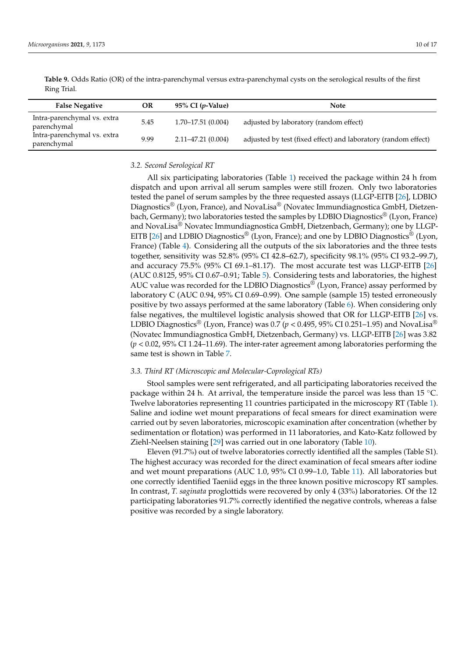| <b>False Negative</b>                      | OR   | 95% CI $(p$ -Value)   | <b>Note</b>                                                    |
|--------------------------------------------|------|-----------------------|----------------------------------------------------------------|
| Intra-parenchymal vs. extra<br>parenchymal | 5.45 | $1.70 - 17.51(0.004)$ | adjusted by laboratory (random effect)                         |
| Intra-parenchymal vs. extra<br>parenchymal | 9.99 | $2.11 - 47.21(0.004)$ | adjusted by test (fixed effect) and laboratory (random effect) |

<span id="page-9-0"></span>**Table 9.** Odds Ratio (OR) of the intra-parenchymal versus extra-parenchymal cysts on the serological results of the first Ring Trial.

#### *3.2. Second Serological RT*

All six participating laboratories (Table [1\)](#page-2-0) received the package within 24 h from dispatch and upon arrival all serum samples were still frozen. Only two laboratories tested the panel of serum samples by the three requested assays (LLGP-EITB [\[26\]](#page-15-7), LDBIO Diagnostics® (Lyon, France), and NovaLisa® (Novatec Immundiagnostica GmbH, Dietzenbach, Germany); two laboratories tested the samples by LDBIO Diagnostics® (Lyon, France) and NovaLisa® Novatec Immundiagnostica GmbH, Dietzenbach, Germany); one by LLGP-EITB [\[26\]](#page-15-7) and LDBIO Diagnostics<sup>®</sup> (Lyon, France); and one by LDBIO Diagnostics<sup>®</sup> (Lyon, France) (Table [4\)](#page-5-0). Considering all the outputs of the six laboratories and the three tests together, sensitivity was 52.8% (95% CI 42.8–62.7), specificity 98.1% (95% CI 93.2–99.7), and accuracy 75.5% (95% CI 69.1–81.17). The most accurate test was LLGP-EITB [\[26\]](#page-15-7) (AUC 0.8125, 95% CI 0.67–0.91; Table [5\)](#page-6-0). Considering tests and laboratories, the highest AUC value was recorded for the LDBIO Diagnostics<sup>®</sup> (Lyon, France) assay performed by laboratory C (AUC 0.94, 95% CI 0.69–0.99). One sample (sample 15) tested erroneously positive by two assays performed at the same laboratory (Table [6\)](#page-7-0). When considering only false negatives, the multilevel logistic analysis showed that OR for LLGP-EITB [\[26\]](#page-15-7) vs. LDBIO Diagnostics<sup>®</sup> (Lyon, France) was 0.7 ( $p < 0.495$ , 95% CI 0.251–1.95) and NovaLisa<sup>®</sup> (Novatec Immundiagnostica GmbH, Dietzenbach, Germany) vs. LLGP-EITB [\[26\]](#page-15-7) was 3.82 (*p* < 0.02, 95% CI 1.24–11.69). The inter-rater agreement among laboratories performing the same test is shown in Table [7.](#page-8-0)

#### *3.3. Third RT (Microscopic and Molecular-Coprological RTs)*

Stool samples were sent refrigerated, and all participating laboratories received the package within 24 h. At arrival, the temperature inside the parcel was less than 15  $°C$ . Twelve laboratories representing 11 countries participated in the microscopy RT (Table [1\)](#page-2-0). Saline and iodine wet mount preparations of fecal smears for direct examination were carried out by seven laboratories, microscopic examination after concentration (whether by sedimentation or flotation) was performed in 11 laboratories, and Kato-Katz followed by Ziehl-Neelsen staining [\[29\]](#page-15-14) was carried out in one laboratory (Table [10\)](#page-10-0).

Eleven (91.7%) out of twelve laboratories correctly identified all the samples (Table S1). The highest accuracy was recorded for the direct examination of fecal smears after iodine and wet mount preparations (AUC 1.0, 95% CI 0.99–1.0, Table [11\)](#page-10-1). All laboratories but one correctly identified Taeniid eggs in the three known positive microscopy RT samples. In contrast, *T. saginata* proglottids were recovered by only 4 (33%) laboratories. Of the 12 participating laboratories 91.7% correctly identified the negative controls, whereas a false positive was recorded by a single laboratory.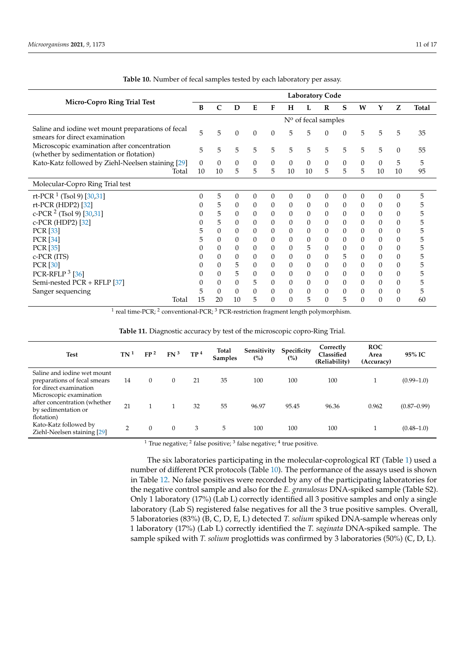<span id="page-10-0"></span>

|                                                                                        |    |          |          |                  |          |                  | <b>Laboratory Code</b> |              |                |              |              |                |              |
|----------------------------------------------------------------------------------------|----|----------|----------|------------------|----------|------------------|------------------------|--------------|----------------|--------------|--------------|----------------|--------------|
| <b>Micro-Copro Ring Trial Test</b>                                                     | В  | C        | D        | E                | F        | н                | L                      | R            | S              | W            | Y            | Z              | <b>Total</b> |
|                                                                                        |    |          |          |                  |          |                  | $No$ of fecal samples  |              |                |              |              |                |              |
| Saline and iodine wet mount preparations of fecal<br>smears for direct examination     | 5  | 5        | $\theta$ | $\theta$         | $\theta$ | 5                | 5                      | $\theta$     | $\theta$       | 5            | 5            | 5              | 35           |
| Microscopic examination after concentration<br>(whether by sedimentation or flotation) | 5  | 5        | 5        | 5                | 5        | 5                | 5                      | 5            | 5              | 5            | 5            | $\theta$       | 55           |
| Kato-Katz followed by Ziehl-Neelsen staining [29]                                      | 0  | $\theta$ | $\theta$ | $\boldsymbol{0}$ | $\theta$ | $\boldsymbol{0}$ | $\theta$               | 0            | 0              | $\mathbf{0}$ | $\theta$     | 5              | 5            |
| Total                                                                                  | 10 | 10       | 5        | 5                | 5        | 10               | 10                     | 5            | 5              | 5            | 10           | 10             | 95           |
| Molecular-Copro Ring Trial test                                                        |    |          |          |                  |          |                  |                        |              |                |              |              |                |              |
| rt-PCR <sup>1</sup> (Tsol 9) [30,31]                                                   | 0  | 5        | $\theta$ | $\Omega$         | $\theta$ | $\theta$         | $\theta$               | $\theta$     | 0              | $\Omega$     | $\theta$     | $\mathbf{0}$   | 5            |
| rt-PCR (HDP2) [32]                                                                     |    | 5        | $\theta$ | $\theta$         | $\theta$ | $\theta$         | $\theta$               | $\mathbf{0}$ | $\theta$       | $\theta$     | 0            | $\mathbf{0}$   | 5.           |
| c-PCR $2$ (Tsol 9) [30,31]                                                             |    | 5        | $\theta$ | $\Omega$         | $\theta$ | $\theta$         | $\theta$               | $\theta$     | $\theta$       | $\theta$     | $\theta$     | $\mathbf{0}$   | 5            |
| c-PCR (HDP2) [32]                                                                      |    | 5        | $\theta$ | $\Omega$         | $\theta$ | $\theta$         | $\theta$               | $\theta$     | $\theta$       | $\Omega$     | $\theta$     | $\mathbf{0}$   | 5            |
| <b>PCR</b> [33]                                                                        | 5  | $\Omega$ | $\theta$ | $\Omega$         | $\theta$ | $\mathbf{0}$     | $\Omega$               | $\theta$     | 0              | 0            | $\theta$     | $\theta$       | 5            |
| <b>PCR</b> [34]                                                                        | 5  | $\theta$ | $\theta$ | $\theta$         | $\theta$ | $\theta$         | $\boldsymbol{0}$       | $\mathbf{0}$ | $\theta$       | 0            | $\mathbf{0}$ | $\mathbf{0}$   | 5            |
| <b>PCR</b> [35]                                                                        | 0  | $\Omega$ | $\theta$ | $\theta$         | $\theta$ | $\theta$         | 5                      | 0            | 0              | 0            | 0            | $\mathbf{0}$   | 5            |
| c-PCR (ITS)                                                                            |    | 0        | $\theta$ | 0                | 0        | $\theta$         | $\theta$               | $\mathbf{0}$ | 5              | 0            | $\mathbf{0}$ | $\mathbf{0}$   | ხ            |
| <b>PCR</b> [30]                                                                        |    | 0        | 5        | $\theta$         | $\theta$ | $\theta$         | $\theta$               | $\theta$     | $\overline{0}$ | $\theta$     | 0            | $\mathbf{0}$   | 5            |
| PCR-RFLP $3$ [36]                                                                      |    | 0        | 5        | $\theta$         | 0        | $\theta$         | $\Omega$               | $\mathbf{0}$ | 0              | 0            | $\theta$     | $\theta$       | 5            |
| Semi-nested PCR + RFLP [37]                                                            |    | 0        | $\theta$ | 5                | $\theta$ | 0                | $\theta$               | $\theta$     | 0              | 0            | 0            | $\theta$       | 5            |
| Sanger sequencing                                                                      | 5  | 0        | $\theta$ | $\theta$         |          | $\theta$         | $\theta$               | $\Omega$     | 0              | 0            | $\theta$     | $\overline{0}$ | ხ            |
| Total                                                                                  | 15 | 20       | 10       | 5                |          | $\theta$         | 5                      | $\Omega$     | 5              | 0            | $\Omega$     | $\Omega$       | 60           |

**Table 10.** Number of fecal samples tested by each laboratory per assay.

 $^1$  real time-PCR;  $^2$  conventional-PCR;  $^3$  PCR-restriction fragment length polymorphism.

<span id="page-10-1"></span>

| <b>Test</b>                                                                                                      | TN <sup>1</sup> | FP <sup>2</sup> | FN <sup>3</sup> | TP <sup>4</sup> | Total<br><b>Samples</b> | Sensitivity<br>(%) | Specificity<br>(%) | Correctly<br>Classified<br>(Reliability) | <b>ROC</b><br>Area<br>(Accuracy) | 95% IC          |
|------------------------------------------------------------------------------------------------------------------|-----------------|-----------------|-----------------|-----------------|-------------------------|--------------------|--------------------|------------------------------------------|----------------------------------|-----------------|
| Saline and iodine wet mount<br>preparations of fecal smears<br>for direct examination<br>Microscopic examination | 14              | $\theta$        | $\mathbf{0}$    | 21              | 35                      | 100                | 100                | 100                                      |                                  | $(0.99 - 1.0)$  |
| after concentration (whether<br>by sedimentation or<br>flotation)                                                | 21              |                 |                 | 32              | 55                      | 96.97              | 95.45              | 96.36                                    | 0.962                            | $(0.87 - 0.99)$ |
| Kato-Katz followed by<br>Ziehl-Neelsen staining [29]                                                             | 2               | $\Omega$        | $\Omega$        | 3               | 5                       | 100                | 100                | 100                                      |                                  | $(0.48 - 1.0)$  |

**Table 11.** Diagnostic accuracy by test of the microscopic copro-Ring Trial.

<sup>1</sup> True negative; <sup>2</sup> false positive; <sup>3</sup> false negative; <sup>4</sup> true positive.

The six laboratories participating in the molecular-coprological RT (Table [1\)](#page-2-0) used a number of different PCR protocols (Table [10\)](#page-10-0). The performance of the assays used is shown in Table [12.](#page-11-0) No false positives were recorded by any of the participating laboratories for the negative control sample and also for the *E. granulosus* DNA-spiked sample (Table S2). Only 1 laboratory (17%) (Lab L) correctly identified all 3 positive samples and only a single laboratory (Lab S) registered false negatives for all the 3 true positive samples. Overall, 5 laboratories (83%) (B, C, D, E, L) detected *T. solium* spiked DNA-sample whereas only 1 laboratory (17%) (Lab L) correctly identified the *T. saginata* DNA-spiked sample. The sample spiked with *T. solium* proglottids was confirmed by 3 laboratories (50%) (C, D, L).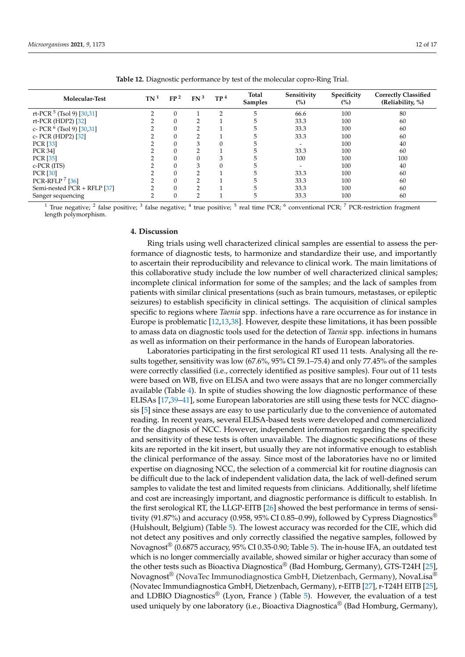<span id="page-11-0"></span>

| Molecular-Test                 | TN <sup>1</sup> | FP <sup>2</sup> | FN <sup>3</sup> | TP <sup>4</sup> | Total<br><b>Samples</b> | Sensitivity<br>(%) | Specificity<br>(%) | <b>Correctly Classified</b><br>(Reliability, %) |
|--------------------------------|-----------------|-----------------|-----------------|-----------------|-------------------------|--------------------|--------------------|-------------------------------------------------|
| rt-PCR $5$ (Tsol 9) [30,31]    | ◠               |                 |                 | n               |                         | 66.6               | 100                | 80                                              |
| rt-PCR (HDP2) [32]             |                 |                 |                 |                 |                         | 33.3               | 100                | 60                                              |
| c- PCR $^{6}$ (Tsol 9) [30,31] |                 |                 |                 |                 |                         | 33.3               | 100                | 60                                              |
| c- PCR (HDP2) [32]             |                 |                 |                 |                 |                         | 33.3               | 100                | 60                                              |
| <b>PCR</b> [33]                |                 |                 |                 |                 |                         |                    | 100                | 40                                              |
| <b>PCR 341</b>                 |                 |                 |                 |                 |                         | 33.3               | 100                | 60                                              |
| <b>PCR</b> [35]                |                 |                 |                 |                 |                         | 100                | 100                | 100                                             |
| $c$ -PCR $(ITS)$               |                 |                 | З               |                 |                         |                    | 100                | 40                                              |
| PCR [30]                       |                 |                 | ◠               |                 |                         | 33.3               | 100                | 60                                              |
| PCR-RFLP <sup>7</sup> [36]     |                 |                 |                 |                 |                         | 33.3               | 100                | 60                                              |
| Semi-nested PCR + RFLP [37]    |                 |                 | $\sim$          |                 |                         | 33.3               | 100                | 60                                              |
| Sanger sequencing              |                 |                 |                 |                 |                         | 33.3               | 100                | 60                                              |

**Table 12.** Diagnostic performance by test of the molecular copro-Ring Trial.

<sup>1</sup> True negative; <sup>2</sup> false positive; <sup>3</sup> false negative; <sup>4</sup> true positive; <sup>5</sup> real time PCR; <sup>6</sup> conventional PCR; <sup>7</sup> PCR-restriction fragment length polymorphism.

## **4. Discussion**

Ring trials using well characterized clinical samples are essential to assess the performance of diagnostic tests, to harmonize and standardize their use, and importantly to ascertain their reproducibility and relevance to clinical work. The main limitations of this collaborative study include the low number of well characterized clinical samples; incomplete clinical information for some of the samples; and the lack of samples from patients with similar clinical presentations (such as brain tumours, metastases, or epileptic seizures) to establish specificity in clinical settings. The acquisition of clinical samples specific to regions where *Taenia* spp. infections have a rare occurrence as for instance in Europe is problematic [\[12,](#page-14-15)[13,](#page-14-8)[38\]](#page-15-23). However, despite these limitations, it has been possible to amass data on diagnostic tools used for the detection of *Taenia* spp. infections in humans as well as information on their performance in the hands of European laboratories.

Laboratories participating in the first serological RT used 11 tests. Analysing all the results together, sensitivity was low (67.6%, 95% CI 59.1–75.4) and only 77.45% of the samples were correctly classified (i.e., correctely identified as positive samples). Four out of 11 tests were based on WB, five on ELISA and two were assays that are no longer commercially available (Table [4\)](#page-5-0). In spite of studies showing the low diagnostic performance of these ELISAs [\[17](#page-14-12)[,39](#page-15-24)[–41\]](#page-16-0), some European laboratories are still using these tests for NCC diagnosis [\[5\]](#page-14-4) since these assays are easy to use particularly due to the convenience of automated reading. In recent years, several ELISA-based tests were developed and commercialized for the diagnosis of NCC. However, independent information regarding the specificity and sensitivity of these tests is often unavailable. The diagnostic specifications of these kits are reported in the kit insert, but usually they are not informative enough to establish the clinical performance of the assay. Since most of the laboratories have no or limited expertise on diagnosing NCC, the selection of a commercial kit for routine diagnosis can be difficult due to the lack of independent validation data, the lack of well-defined serum samples to validate the test and limited requests from clinicians. Additionally, shelf lifetime and cost are increasingly important, and diagnostic performance is difficult to establish. In the first serological RT, the LLGP-EITB [\[26\]](#page-15-7) showed the best performance in terms of sensitivity (91.87%) and accuracy (0.958, 95% CI 0.85–0.99), followed by Cypress Diagnostics<sup>®</sup> (Hulshoult, Belgium) (Table [5\)](#page-6-0). The lowest accuracy was recorded for the CIE, which did not detect any positives and only correctly classified the negative samples, followed by Novagnost® (0.6875 accuracy, 95% CI 0.35-0.90; Table [5\)](#page-6-0). The in-house IFA, an outdated test which is no longer commercially available, showed similar or higher accuracy than some of the other tests such as Bioactiva Diagnostica® (Bad Homburg, Germany), GTS-T24H [\[25\]](#page-15-6), Novagnost® (NovaTec Immunodiagnostica GmbH, Dietzenbach, Germany), NovaLisa® (Novatec Immundiagnostica GmbH, Dietzenbach, Germany), r-EITB [\[27\]](#page-15-8), r-T24H EITB [\[25\]](#page-15-6), and LDBIO Diagnostics<sup>®</sup> (Lyon, France ) (Table [5\)](#page-6-0). However, the evaluation of a test used uniquely by one laboratory (i.e., Bioactiva Diagnostica<sup>®</sup> (Bad Homburg, Germany),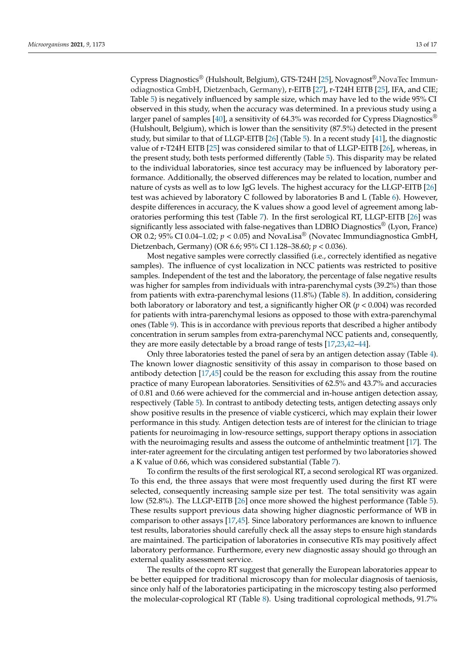Cypress Diagnostics® (Hulshoult, Belgium), GTS-T24H [\[25\]](#page-15-6), Novagnost®,NovaTec Immunodiagnostica GmbH, Dietzenbach, Germany), r-EITB [\[27\]](#page-15-8), r-T24H EITB [\[25\]](#page-15-6), IFA, and CIE; Table [5\)](#page-6-0) is negatively influenced by sample size, which may have led to the wide 95% CI observed in this study, when the accuracy was determined. In a previous study using a larger panel of samples [\[40\]](#page-15-25), a sensitivity of 64.3% was recorded for Cypress Diagnostics<sup>®</sup> (Hulshoult, Belgium), which is lower than the sensitivity (87.5%) detected in the present study, but similar to that of LLGP-EITB [\[26\]](#page-15-7) (Table [5\)](#page-6-0). In a recent study [\[41\]](#page-16-0), the diagnostic value of r-T24H EITB [\[25\]](#page-15-6) was considered similar to that of LLGP-EITB [\[26\]](#page-15-7), whereas, in the present study, both tests performed differently (Table [5\)](#page-6-0). This disparity may be related to the individual laboratories, since test accuracy may be influenced by laboratory performance. Additionally, the observed differences may be related to location, number and nature of cysts as well as to low IgG levels. The highest accuracy for the LLGP-EITB [\[26\]](#page-15-7) test was achieved by laboratory C followed by laboratories B and L (Table [6\)](#page-7-0). However, despite differences in accuracy, the K values show a good level of agreement among laboratories performing this test (Table [7\)](#page-8-0). In the first serological RT, LLGP-EITB [\[26\]](#page-15-7) was significantly less associated with false-negatives than LDBIO Diagnostics<sup>®</sup> (Lyon, France) OR 0.2; 95% CI 0.04–1.02;  $p < 0.05$ ) and NovaLisa<sup>®</sup> (Novatec Immundiagnostica GmbH, Dietzenbach, Germany) (OR 6.6; 95% CI 1.128–38.60; *p* < 0.036).

Most negative samples were correctly classified (i.e., correctely identified as negative samples). The influence of cyst localization in NCC patients was restricted to positive samples. Independent of the test and the laboratory, the percentage of false negative results was higher for samples from individuals with intra-parenchymal cysts (39.2%) than those from patients with extra-parenchymal lesions (11.8%) (Table [8\)](#page-8-1). In addition, considering both laboratory or laboratory and test, a significantly higher OR (*p* < 0.004) was recorded for patients with intra-parenchymal lesions as opposed to those with extra-parenchymal ones (Table [9\)](#page-9-0). This is in accordance with previous reports that described a higher antibody concentration in serum samples from extra-parenchymal NCC patients and, consequently, they are more easily detectable by a broad range of tests [\[17](#page-14-12)[,23](#page-15-4)[,42–](#page-16-1)[44\]](#page-16-2).

Only three laboratories tested the panel of sera by an antigen detection assay (Table [4\)](#page-5-0). The known lower diagnostic sensitivity of this assay in comparison to those based on antibody detection [\[17](#page-14-12)[,45\]](#page-16-3) could be the reason for excluding this assay from the routine practice of many European laboratories. Sensitivities of 62.5% and 43.7% and accuracies of 0.81 and 0.66 were achieved for the commercial and in-house antigen detection assay, respectively (Table [5\)](#page-6-0). In contrast to antibody detecting tests, antigen detecting assays only show positive results in the presence of viable cysticerci, which may explain their lower performance in this study. Antigen detection tests are of interest for the clinician to triage patients for neuroimaging in low-resource settings, support therapy options in association with the neuroimaging results and assess the outcome of anthelmintic treatment [\[17\]](#page-14-12). The inter-rater agreement for the circulating antigen test performed by two laboratories showed a K value of 0.66, which was considered substantial (Table [7\)](#page-8-0).

To confirm the results of the first serological RT, a second serological RT was organized. To this end, the three assays that were most frequently used during the first RT were selected, consequently increasing sample size per test. The total sensitivity was again low (52.8%). The LLGP-EITB [\[26\]](#page-15-7) once more showed the highest performance (Table [5\)](#page-6-0). These results support previous data showing higher diagnostic performance of WB in comparison to other assays [\[17,](#page-14-12)[45\]](#page-16-3). Since laboratory performances are known to influence test results, laboratories should carefully check all the assay steps to ensure high standards are maintained. The participation of laboratories in consecutive RTs may positively affect laboratory performance. Furthermore, every new diagnostic assay should go through an external quality assessment service.

The results of the copro RT suggest that generally the European laboratories appear to be better equipped for traditional microscopy than for molecular diagnosis of taeniosis, since only half of the laboratories participating in the microscopy testing also performed the molecular-coprological RT (Table [8\)](#page-8-1). Using traditional coprological methods, 91.7%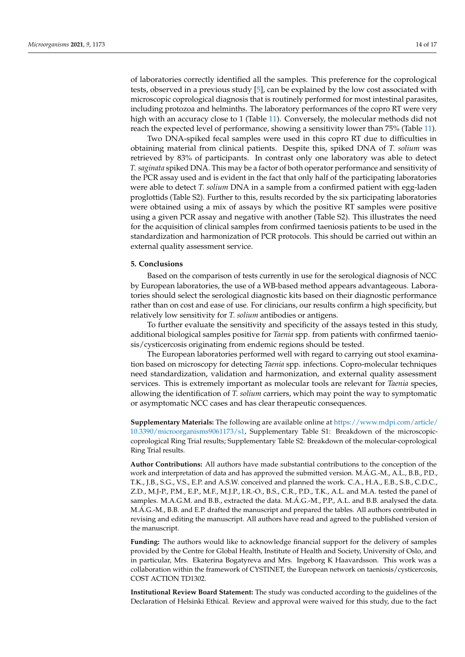of laboratories correctly identified all the samples. This preference for the coprological tests, observed in a previous study [\[5\]](#page-14-4), can be explained by the low cost associated with microscopic coprological diagnosis that is routinely performed for most intestinal parasites, including protozoa and helminths. The laboratory performances of the copro RT were very high with an accuracy close to 1 (Table [11\)](#page-10-1). Conversely, the molecular methods did not reach the expected level of performance, showing a sensitivity lower than 75% (Table [11\)](#page-10-1).

Two DNA-spiked fecal samples were used in this copro RT due to difficulties in obtaining material from clinical patients. Despite this, spiked DNA of *T. solium* was retrieved by 83% of participants. In contrast only one laboratory was able to detect *T. saginata* spiked DNA. This may be a factor of both operator performance and sensitivity of the PCR assay used and is evident in the fact that only half of the participating laboratories were able to detect *T. solium* DNA in a sample from a confirmed patient with egg-laden proglottids (Table S2). Further to this, results recorded by the six participating laboratories were obtained using a mix of assays by which the positive RT samples were positive using a given PCR assay and negative with another (Table S2). This illustrates the need for the acquisition of clinical samples from confirmed taeniosis patients to be used in the standardization and harmonization of PCR protocols. This should be carried out within an external quality assessment service.

#### **5. Conclusions**

Based on the comparison of tests currently in use for the serological diagnosis of NCC by European laboratories, the use of a WB-based method appears advantageous. Laboratories should select the serological diagnostic kits based on their diagnostic performance rather than on cost and ease of use. For clinicians, our results confirm a high specificity, but relatively low sensitivity for *T. solium* antibodies or antigens.

To further evaluate the sensitivity and specificity of the assays tested in this study, additional biological samples positive for *Taenia* spp. from patients with confirmed taeniosis/cysticercosis originating from endemic regions should be tested.

The European laboratories performed well with regard to carrying out stool examination based on microscopy for detecting *Taenia* spp. infections. Copro-molecular techniques need standardization, validation and harmonization, and external quality assessment services. This is extremely important as molecular tools are relevant for *Taenia* species, allowing the identification of *T. solium* carriers, which may point the way to symptomatic or asymptomatic NCC cases and has clear therapeutic consequences.

**Supplementary Materials:** The following are available online at [https://www.mdpi.com/article/](https://www.mdpi.com/article/10.3390/microorganisms9061173/s1) [10.3390/microorganisms9061173/s1,](https://www.mdpi.com/article/10.3390/microorganisms9061173/s1) Supplementary Table S1: Breakdown of the microscopiccoprological Ring Trial results; Supplementary Table S2: Breakdown of the molecular-coprological Ring Trial results.

**Author Contributions:** All authors have made substantial contributions to the conception of the work and interpretation of data and has approved the submitted version. M.Á.G.-M., A.L., B.B., P.D., T.K., J.B., S.G., V.S., E.P. and A.S.W. conceived and planned the work. C.A., H.A., E.B., S.B., C.D.C., Z.D., M.J-P., P.M., E.P., M.F., M.J.P., I.R.-O., B.S., C.R., P.D., T.K., A.L. and M.A. tested the panel of samples. M.A.G.M. and B.B., extracted the data. M.Á.G.-M., P.P., A.L. and B.B. analysed the data. M.Á.G.-M., B.B. and E.P. drafted the manuscript and prepared the tables. All authors contributed in revising and editing the manuscript. All authors have read and agreed to the published version of the manuscript.

**Funding:** The authors would like to acknowledge financial support for the delivery of samples provided by the Centre for Global Health, Institute of Health and Society, University of Oslo, and in particular, Mrs. Ekaterina Bogatyreva and Mrs. Ingeborg K Haavardsson. This work was a collaboration within the framework of CYSTINET, the European network on taeniosis/cysticercosis, COST ACTION TD1302.

**Institutional Review Board Statement:** The study was conducted according to the guidelines of the Declaration of Helsinki Ethical. Review and approval were waived for this study, due to the fact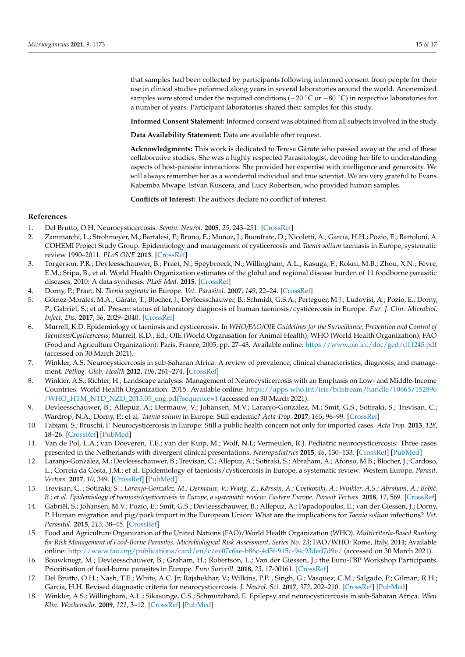that samples had been collected by participants following informed consent from people for their use in clinical studies peformed along years in several laboratories around the world. Anonemized samples were stored under the required conditions (−20 °C or −80 °C) in respective laboratories for a number of years. Participant laboratories shared their samples for this study.

**Informed Consent Statement:** Informed consent was obtained from all subjects involved in the study.

**Data Availability Statement:** Data are available after request.

**Acknowledgments:** This work is dedicated to Teresa Gárate who passed away at the end of these collaborative studies. She was a highly respected Parasitologist, devoting her life to understanding aspects of host-parasite interactions. She provided her expertise with intelligence and generosity. We will always remember her as a wonderful individual and true scientist. We are very grateful to Evans Kabemba Mwape, Istvan Kuscera, and Lucy Robertson, who provided human samples.

**Conflicts of Interest:** The authors declare no conflict of interest.

# **References**

- <span id="page-14-0"></span>1. Del Brutto, O.H. Neurocysticercosis. *Semin. Neurol.* **2005**, *25*, 243–251. [\[CrossRef\]](http://doi.org/10.1055/s-2005-917661)
- <span id="page-14-1"></span>2. Zammarchi, L.; Strohmeyer, M.; Bartalesi, F.; Bruno, E.; Muñoz, J.; Buonfrate, D.; Nicoletti, A.; García, H.H.; Pozio, E.; Bartoloni, A. COHEMI Project Study Group. Epidemiology and management of cysticercosis and *Taenia solium* taeniasis in Europe, systematic review 1990–2011. *PLoS ONE* **2013**. [\[CrossRef\]](http://doi.org/10.1371/annotation/1bcc3e5b-1159-412b-be86-b18d94515cc2)
- <span id="page-14-2"></span>3. Torgerson, P.R.; Devleesschauwer, B.; Praet, N.; Speybroeck, N.; Willingham, A.L.; Kasuga, F.; Rokni, M.B.; Zhou, X.N.; Fèvre, E.M.; Sripa, B.; et al. World Health Organization estimates of the global and regional disease burden of 11 foodborne parasitic diseases, 2010: A data synthesis. *PLoS Med.* **2015**. [\[CrossRef\]](http://doi.org/10.1371/journal.pmed.1001920)
- <span id="page-14-3"></span>4. Dorny, P.; Praet, N. *Taenia saginata* in Europe. *Vet. Parasitol.* **2007**, *149*, 22–24. [\[CrossRef\]](http://doi.org/10.1016/j.vetpar.2007.07.004)
- <span id="page-14-4"></span>5. Gómez-Morales, M.A.; Gárate, T.; Blocher, J.; Devleesschauwer, B.; Schmidt, G.S.A.; Perteguer, M.J.; Ludovisi, A.; Pozio, E.; Dorny, P.; Gabriël, S.; et al. Present status of laboratory diagnosis of human taeniosis/cysticercosis in Europe. *Eur. J. Clin. Microbiol. Infect. Dis.* **2017**, *36*, 2029–2040. [\[CrossRef\]](http://doi.org/10.1007/s10096-017-3029-1)
- <span id="page-14-5"></span>6. Murrell, K.D. Epidemiology of taeniosis and cysticercosis. In *WHO/FAO/OIE Guidelines for the Surveillance, Prevention and Control of Taeniosis/Cysticercosis*; Murrell, K.D., Ed.; OIE (World Organisation for Animal Health); WHO (World Health Organization); FAO (Food and Agriculture Organization): Paris, France, 2005; pp. 27–43. Available online: <https://www.oie.int/doc/ged/d11245.pdf> (accessed on 30 March 2021).
- <span id="page-14-13"></span>7. Winkler, A.S. Neurocysticercosis in sub-Saharan Africa: A review of prevalence, clinical characteristics, diagnosis, and management. *Pathog. Glob. Health* **2012**, *106*, 261–274. [\[CrossRef\]](http://doi.org/10.1179/2047773212Y.0000000047)
- <span id="page-14-6"></span>8. Winkler, A.S.; Richter, H.; Landscape analysis: Management of Neurocysticercosis with an Emphasis on Low- and Middle-Income Countries. World Health Organization. 2015. Available online: [https://apps.who.int/iris/bitstream/handle/10665/152896](https://apps.who.int/iris/bitstream/handle/10665/152896/WHO_HTM_NTD_NZD_2015.05_eng.pdf?sequence=1) [/WHO\\_HTM\\_NTD\\_NZD\\_2015.05\\_eng.pdf?sequence=1](https://apps.who.int/iris/bitstream/handle/10665/152896/WHO_HTM_NTD_NZD_2015.05_eng.pdf?sequence=1) (accessed on 30 March 2021).
- <span id="page-14-7"></span>9. Devleesschauwer, B.; Allepuz, A.; Dermauw, V.; Johansen, M.V.; Laranjo-González, M.; Smit, G.S.; Sotiraki, S.; Trevisan, C.; Wardrop, N.A.; Dorny, P.; et al. *Taenia solium* in Europe: Still endemic? *Acta Trop.* **2017**, *165*, 96–99. [\[CrossRef\]](http://doi.org/10.1016/j.actatropica.2015.08.006)
- 10. Fabiani, S.; Bruschi, F. Neurocysticercosis in Europe: Still a public health concern not only for imported cases. *Acta Trop.* **2013**, *128*, 18–26. [\[CrossRef\]](http://doi.org/10.1016/j.actatropica.2013.06.020) [\[PubMed\]](http://www.ncbi.nlm.nih.gov/pubmed/23871891)
- 11. Van de Pol, L.A.; van Doeveren, T.E.; van der Kuip, M.; Wolf, N.I.; Vermeulen, R.J. Pediatric neurocysticercosis: Three cases presented in the Netherlands with divergent clinical presentations. *Neuropediatrics* **2015**, *46*, 130–133. [\[CrossRef\]](http://doi.org/10.1055/s-0034-1399753) [\[PubMed\]](http://www.ncbi.nlm.nih.gov/pubmed/25642807)
- <span id="page-14-15"></span>12. Laranjo-González, M.; Devleesschauwer, B.; Trevisan, C.; Allepuz, A.; Sotiraki, S.; Abraham, A.; Afonso, M.B.; Blocher, J.; Cardoso, L.; Correia da Costa, J.M.; et al. Epidemiology of taeniosis/cysticercosis in Europe, a systematic review: Western Europe. *Parasit. Vectors.* **2017**, *10*, 349. [\[CrossRef\]](http://doi.org/10.1186/s13071-017-2280-8) [\[PubMed\]](http://www.ncbi.nlm.nih.gov/pubmed/28732550)
- <span id="page-14-8"></span>13. Trevisan, C. ; Sotiraki; S. *; Laranjo-González, M.; Dermauw, V.; Wang, Z.; Kärssin, A.; Cvetkovikj, A.; Winkler, A.S.; Abraham, A.; Bobi´c, B.; et al. Epidemiology of taeniosis/cysticercosis in Europe, a systematic review: Eastern Europe. Parasit Vectors.* **2018**, *11*, 569. [\[CrossRef\]](http://doi.org/10.1186/s13071-018-3153-5)
- <span id="page-14-9"></span>14. Gabriël, S.; Johansen, M.V.; Pozio, E.; Smit, G.S.; Devleesschauwer, B.; Allepuz, A.; Papadopoulos, E.; van der Giessen, J.; Dorny, P. Human migration and pig/pork import in the European Union: What are the implications for *Taenia solium* infections? *Vet. Parasitol.* **2015**, *213*, 38–45. [\[CrossRef\]](http://doi.org/10.1016/j.vetpar.2015.03.006)
- <span id="page-14-10"></span>15. Food and Agriculture Organization of the United Nations (FAO)/World Health Organization (WHO). *Multicriteria-Based Ranking for Risk Management of Food-Borne Parasites. Microbiological Risk Assessment, Series No. 23*; FAO/WHO: Rome, Italy, 2014; Available online: <http://www.fao.org/publications/card/en/c/ee07c6ae-b86c-4d5f-915c-94c93ded7d9e/> (accessed on 30 March 2021).
- <span id="page-14-11"></span>16. Bouwknegt, M.; Devleesschauwer, B.; Graham, H.; Robertson, L.; Van der Giessen, J.; the Euro-FBP Workshop Participants. Prioritisation of food-borne parasites in Europe. *Euro Surveill.* **2018**, *23*, 17-00161. [\[CrossRef\]](http://doi.org/10.2807/1560-7917.ES.2018.23.9.17-00161)
- <span id="page-14-12"></span>17. Del Brutto, O.H.; Nash, T.E.; White, A.C. Jr; Rajshekhar, V.; Wilkins, P.P. , Singh, G.; Vasquez; C.M.; Salgado, P.; Gilman; R.H.; Garcia, H.H. Revised diagnostic criteria for neurocysticercosis. *J. Neurol. Sci.* **2017**, *372*, 202–210. [\[CrossRef\]](http://doi.org/10.1016/j.jns.2016.11.045) [\[PubMed\]](http://www.ncbi.nlm.nih.gov/pubmed/28017213)
- <span id="page-14-14"></span>18. Winkler, A.S.; Willingham, A.L.; Sikasunge, C.S.; Schmutzhard, E. Epilepsy and neurocysticercosis in sub-Saharan Africa. *Wien Klin. Wochenschr.* **2009**, *121*, 3–12. [\[CrossRef\]](http://doi.org/10.1007/s00508-009-1242-3) [\[PubMed\]](http://www.ncbi.nlm.nih.gov/pubmed/19915809)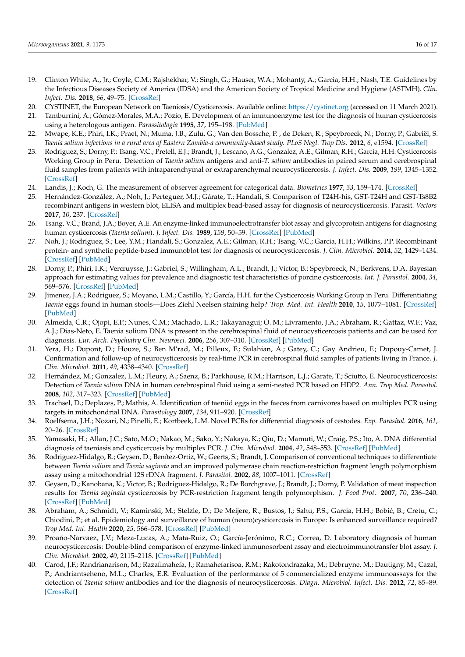- <span id="page-15-13"></span><span id="page-15-12"></span><span id="page-15-11"></span><span id="page-15-10"></span><span id="page-15-0"></span>19. Clinton White, A., Jr.; Coyle, C.M.; Rajshekhar, V.; Singh, G.; Hauser, W.A.; Mohanty, A.; Garcia, H.H.; Nash, T.E. Guidelines by the Infectious Diseases Society of America (IDSA) and the American Society of Tropical Medicine and Hygiene (ASTMH). *Clin. Infect. Dis.* **2018**, *66*, 49–75. [\[CrossRef\]](http://doi.org/10.1093/cid/cix1084)
- <span id="page-15-1"></span>20. CYSTINET, the European Network on Taeniosis/Cysticercosis. Available online: <https://cystinet.org> (accessed on 11 March 2021).
- <span id="page-15-2"></span>21. Tamburrini, A.; Gómez-Morales, M.A.; Pozio, E. Development of an immunoenzyme test for the diagnosis of human cysticercosis using a heterologous antigen. *Parassitologia* **1995**, *37*, 195–198. [\[PubMed\]](http://www.ncbi.nlm.nih.gov/pubmed/8778659)
- <span id="page-15-3"></span>22. Mwape, K.E.; Phiri, I.K.; Praet, N.; Muma, J.B.; Zulu, G.; Van den Bossche, P. , de Deken, R.; Speybroeck, N.; Dorny, P.; Gabriël, S. *Taenia solium infections in a rural area of Eastern Zambia-a community-based study. PLoS Negl. Trop Dis.* **2012**, *6*, e1594. [\[CrossRef\]](http://doi.org/10.1371/journal.pntd.0001594)
- <span id="page-15-4"></span>23. Rodriguez, S.; Dorny, P.; Tsang, V.C.; Pretell, E.J.; Brandt, J.; Lescano, A.G.; Gonzalez, A.E.; Gilman, R.H.; Garcia, H.H. Cysticercosis Working Group in Peru. Detection of *Taenia solium* antigens and anti-*T. solium* antibodies in paired serum and cerebrospinal fluid samples from patients with intraparenchymal or extraparenchymal neurocysticercosis. *J. Infect. Dis.* **2009**, *199*, 1345–1352. [\[CrossRef\]](http://doi.org/10.1086/597757)
- <span id="page-15-5"></span>24. Landis, J.; Koch, G. The measurement of observer agreement for categorical data. *Biometrics* **1977**, *33*, 159–174. [\[CrossRef\]](http://doi.org/10.2307/2529310)
- <span id="page-15-6"></span>25. Hernández-González, A.; Noh, J.; Perteguer, M.J.; Gárate, T.; Handali, S. Comparison of T24H-his, GST-T24H and GST-Ts8B2 recombinant antigens in western blot, ELISA and multiplex bead-based assay for diagnosis of neurocysticercosis. Parasit. *Vectors* **2017**, *10*, 237. [\[CrossRef\]](http://doi.org/10.1186/s13071-017-2160-2)
- <span id="page-15-7"></span>26. Tsang, V.C.; Brand, J.A.; Boyer, A.E. An enzyme-linked immunoelectrotransfer blot assay and glycoprotein antigens for diagnosing human cysticercosis (*Taenia solium*). *J. Infect. Dis.* **1989**, *159*, 50–59. [\[CrossRef\]](http://doi.org/10.1093/infdis/159.1.50) [\[PubMed\]](http://www.ncbi.nlm.nih.gov/pubmed/2909643)
- <span id="page-15-8"></span>27. Noh, J.; Rodriguez, S.; Lee, Y.M.; Handali, S.; Gonzalez, A.E.; Gilman, R.H.; Tsang, V.C.; Garcia, H.H.; Wilkins, P.P. Recombinant protein- and synthetic peptide-based immunoblot test for diagnosis of neurocysticercosis. *J. Clin. Microbiol.* **2014**, *52*, 1429–1434. [\[CrossRef\]](http://doi.org/10.1128/JCM.03260-13) [\[PubMed\]](http://www.ncbi.nlm.nih.gov/pubmed/24554747)
- <span id="page-15-9"></span>28. Dorny, P.; Phiri, I.K.; Vercruysse, J.; Gabriel, S.; Willingham, A.L.; Brandt, J.; Victor, B.; Speybroeck, N.; Berkvens, D.A. Bayesian approach for estimating values for prevalence and diagnostic test characteristics of porcine cysticercosis. *Int. J. Parasitol.* **2004**, *34*, 569–576. [\[CrossRef\]](http://doi.org/10.1016/j.ijpara.2003.11.014) [\[PubMed\]](http://www.ncbi.nlm.nih.gov/pubmed/15064121)
- <span id="page-15-14"></span>29. Jimenez, J.A.; Rodriguez, S.; Moyano, L.M.; Castillo, Y.; García, H.H. for the Cysticercosis Working Group in Peru. Differentiating *Taenia* eggs found in human stools—Does Ziehl Neelsen staining help? *Trop. Med. Int. Health* **2010**, *15*, 1077–1081. [\[CrossRef\]](http://doi.org/10.1111/j.1365-3156.2010.02579.x) [\[PubMed\]](http://www.ncbi.nlm.nih.gov/pubmed/20579318)
- <span id="page-15-15"></span>30. Almeida, C.R.; Ojopi, E.P.; Nunes, C.M.; Machado, L.R.; Takayanagui; O. M.; Livramento, J.A.; Abraham, R.; Gattaz, W.F.; Vaz, A.J.; Dias-Neto, E. Taenia solium DNA is present in the cerebrospinal fluid of neurocysticercosis patients and can be used for diagnosis. *Eur. Arch. Psychiatry Clin. Neurosci.* **2006**, *256*, 307–310. [\[CrossRef\]](http://doi.org/10.1007/s00406-006-0612-3) [\[PubMed\]](http://www.ncbi.nlm.nih.gov/pubmed/16816897)
- <span id="page-15-16"></span>31. Yera, H.; Dupont, D.; Houze, S.; Ben M'rad, M.; Pilleux, F.; Sulahian, A.; Gatey, C.; Gay Andrieu, F.; Dupouy-Camet, J. Confirmation and follow-up of neurocysticercosis by real-time PCR in cerebrospinal fluid samples of patients living in France. *J. Clin. Microbiol.* **2011**, *49*, 4338–4340. [\[CrossRef\]](http://doi.org/10.1128/JCM.05839-11)
- <span id="page-15-17"></span>32. Hernández, M.; Gonzalez, L.M.; Fleury, A.; Saenz, B.; Parkhouse, R.M.; Harrison, L.J.; Garate, T.; Sciutto, E. Neurocysticercosis: Detection of *Taenia solium* DNA in human cerebrospinal fluid using a semi-nested PCR based on HDP2. *Ann. Trop Med. Parasitol.* **2008**, *102*, 317–323. [\[CrossRef\]](http://doi.org/10.1179/136485908X278856) [\[PubMed\]](http://www.ncbi.nlm.nih.gov/pubmed/18510812)
- <span id="page-15-18"></span>33. Trachsel, D.; Deplazes, P.; Mathis, A. Identification of taeniid eggs in the faeces from carnivores based on multiplex PCR using targets in mitochondrial DNA. *Parasitology* **2007**, *134*, 911–920. [\[CrossRef\]](http://doi.org/10.1017/S0031182007002235)
- <span id="page-15-19"></span>34. Roelfsema, J.H.; Nozari, N.; Pinelli, E.; Kortbeek, L.M. Novel PCRs for differential diagnosis of cestodes. *Exp. Parasitol.* **2016**, *161*, 20–26. [\[CrossRef\]](http://doi.org/10.1016/j.exppara.2015.12.010)
- <span id="page-15-20"></span>35. Yamasaki, H.; Allan, J.C.; Sato, M.O.; Nakao, M.; Sako, Y.; Nakaya, K.; Qiu, D.; Mamuti, W.; Craig, P.S.; Ito, A. DNA differential diagnosis of taeniasis and cysticercosis by multiplex PCR. *J. Clin. Microbiol.* **2004**, *42*, 548–553. [\[CrossRef\]](http://doi.org/10.1128/JCM.42.2.548-553.2004) [\[PubMed\]](http://www.ncbi.nlm.nih.gov/pubmed/14766815)
- <span id="page-15-21"></span>36. Rodriguez-Hidalgo, R.; Geysen, D.; Benítez-Ortiz, W.; Geerts, S.; Brandt, J. Comparison of conventional techniques to differentiate between *Taenia solium* and *Taenia saginata* and an improved polymerase chain reaction-restriction fragment length polymorphism assay using a mitochondrial 12S rDNA fragment. *J. Parasitol.* **2002**, *88*, 1007–1011. [\[CrossRef\]](http://doi.org/10.1645/0022-3395(2002)088[1007:COCTTD]2.0.CO;2)
- <span id="page-15-22"></span>37. Geysen, D.; Kanobana, K.; Victor, B.; Rodriguez-Hidalgo, R.; De Borchgrave, J.; Brandt, J.; Dorny, P. Validation of meat inspection results for *Taenia saginata* cysticercosis by PCR-restriction fragment length polymorphism. *J. Food Prot.* **2007**, *70*, 236–240. [\[CrossRef\]](http://doi.org/10.4315/0362-028X-70.1.236) [\[PubMed\]](http://www.ncbi.nlm.nih.gov/pubmed/17265888)
- <span id="page-15-23"></span>38. Abraham, A.; Schmidt, V.; Kaminski, M.; Stelzle, D.; De Meijere, R.; Bustos, J.; Sahu, P.S.; Garcia, H.H.; Bobić, B.; Cretu, C.; Chiodini, P.; et al. Epidemiology and surveillance of human (neuro)cysticercosis in Europe: Is enhanced surveillance required? *Trop Med. Int. Health* **2020**, *25*, 566–578. [\[CrossRef\]](http://doi.org/10.1111/tmi.13384) [\[PubMed\]](http://www.ncbi.nlm.nih.gov/pubmed/32083787)
- <span id="page-15-24"></span>39. Proaño-Narvaez, J.V.; Meza-Lucas, A.; Mata-Ruiz, O.; García-Jerónimo, R.C.; Correa, D. Laboratory diagnosis of human neurocysticercosis: Double-blind comparison of enzyme-linked immunosorbent assay and electroimmunotransfer blot assay. *J. Clin. Microbiol.* **2002**, *40*, 2115–2118. [\[CrossRef\]](http://doi.org/10.1128/JCM.40.6.2115-2118.2002) [\[PubMed\]](http://www.ncbi.nlm.nih.gov/pubmed/12037074)
- <span id="page-15-25"></span>40. Carod, J.F.; Randrianarison, M.; Razafimahefa, J.; Ramahefarisoa, R.M.; Rakotondrazaka, M.; Debruyne, M.; Dautigny, M.; Cazal, P.; Andriantseheno, M.L.; Charles, E.R. Evaluation of the performance of 5 commercialized enzyme immunoassays for the detection of *Taenia solium* antibodies and for the diagnosis of neurocysticercosis. *Diagn. Microbiol. Infect. Dis.* **2012**, *72*, 85–89. [\[CrossRef\]](http://doi.org/10.1016/j.diagmicrobio.2011.09.014)